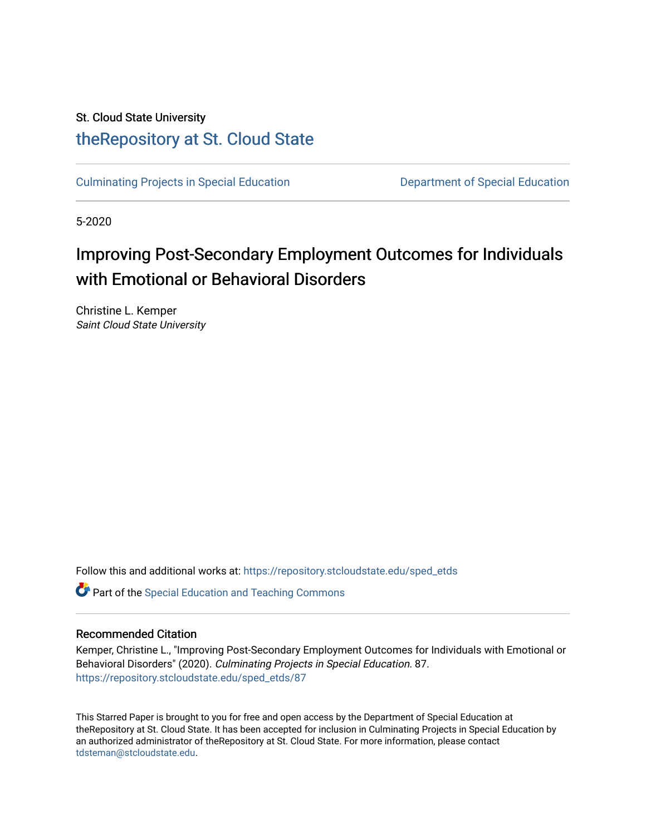# St. Cloud State University [theRepository at St. Cloud State](https://repository.stcloudstate.edu/)

[Culminating Projects in Special Education](https://repository.stcloudstate.edu/sped_etds) [Department of Special Education](https://repository.stcloudstate.edu/sped) 

5-2020

# Improving Post-Secondary Employment Outcomes for Individuals with Emotional or Behavioral Disorders

Christine L. Kemper Saint Cloud State University

Follow this and additional works at: [https://repository.stcloudstate.edu/sped\\_etds](https://repository.stcloudstate.edu/sped_etds?utm_source=repository.stcloudstate.edu%2Fsped_etds%2F87&utm_medium=PDF&utm_campaign=PDFCoverPages) 

**C** Part of the Special Education and Teaching Commons

## Recommended Citation

Kemper, Christine L., "Improving Post-Secondary Employment Outcomes for Individuals with Emotional or Behavioral Disorders" (2020). Culminating Projects in Special Education. 87. [https://repository.stcloudstate.edu/sped\\_etds/87](https://repository.stcloudstate.edu/sped_etds/87?utm_source=repository.stcloudstate.edu%2Fsped_etds%2F87&utm_medium=PDF&utm_campaign=PDFCoverPages) 

This Starred Paper is brought to you for free and open access by the Department of Special Education at theRepository at St. Cloud State. It has been accepted for inclusion in Culminating Projects in Special Education by an authorized administrator of theRepository at St. Cloud State. For more information, please contact [tdsteman@stcloudstate.edu](mailto:tdsteman@stcloudstate.edu).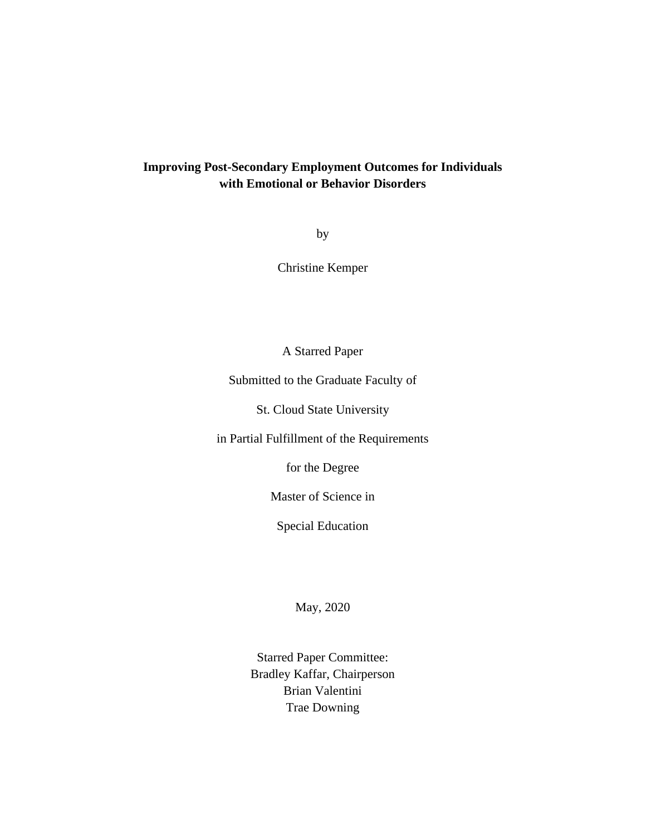# **Improving Post-Secondary Employment Outcomes for Individuals with Emotional or Behavior Disorders**

by

Christine Kemper

A Starred Paper

Submitted to the Graduate Faculty of

St. Cloud State University

in Partial Fulfillment of the Requirements

for the Degree

Master of Science in

Special Education

May, 2020

Starred Paper Committee: Bradley Kaffar, Chairperson Brian Valentini Trae Downing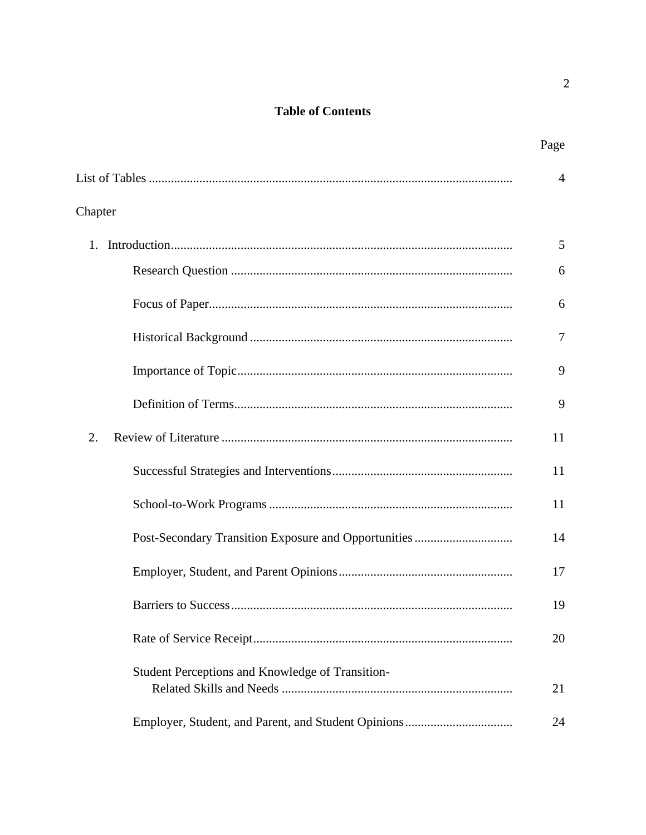# **Table of Contents**

|                                                  | Page |
|--------------------------------------------------|------|
|                                                  | 4    |
| Chapter                                          |      |
|                                                  | 5    |
|                                                  | 6    |
|                                                  | 6    |
|                                                  | 7    |
|                                                  | 9    |
|                                                  | 9    |
| 2.                                               | 11   |
|                                                  | 11   |
|                                                  | 11   |
|                                                  | 14   |
|                                                  | 17   |
|                                                  | 19   |
|                                                  | 20   |
| Student Perceptions and Knowledge of Transition- | 21   |
|                                                  | 24   |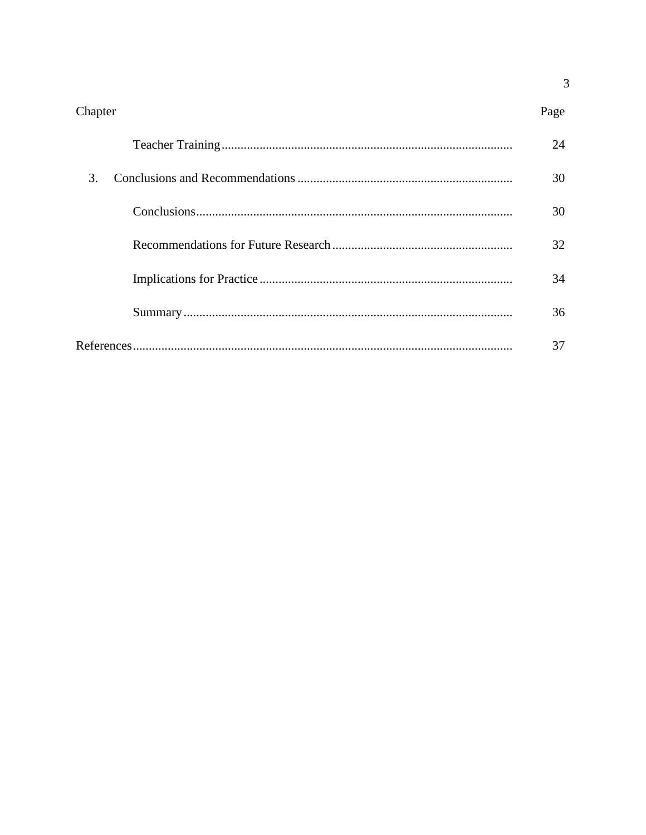$\overline{3}$ 

|               | 24 |
|---------------|----|
| $\mathcal{R}$ | 30 |
|               | 30 |
|               | 32 |
|               | 34 |
|               | 36 |
|               | 37 |

Chapter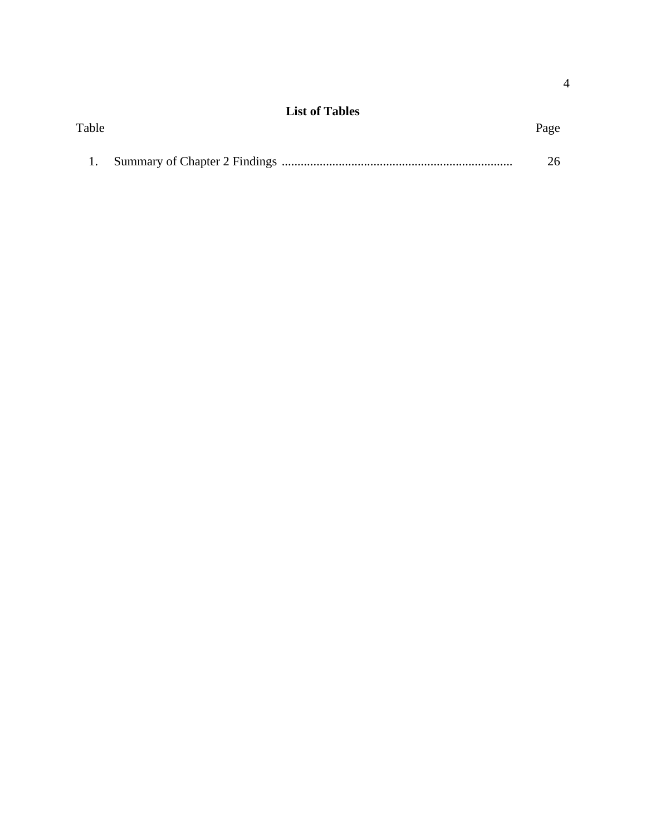|       | <b>List of Tables</b> |      |
|-------|-----------------------|------|
| Table |                       | Page |
|       |                       |      |
|       |                       | 26   |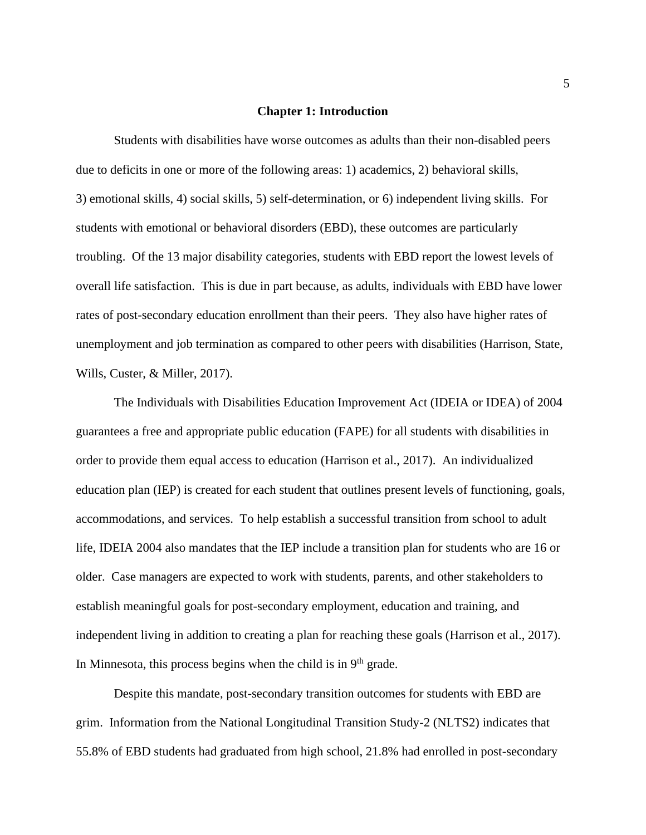#### **Chapter 1: Introduction**

Students with disabilities have worse outcomes as adults than their non-disabled peers due to deficits in one or more of the following areas: 1) academics, 2) behavioral skills, 3) emotional skills, 4) social skills, 5) self-determination, or 6) independent living skills. For students with emotional or behavioral disorders (EBD), these outcomes are particularly troubling. Of the 13 major disability categories, students with EBD report the lowest levels of overall life satisfaction. This is due in part because, as adults, individuals with EBD have lower rates of post-secondary education enrollment than their peers. They also have higher rates of unemployment and job termination as compared to other peers with disabilities (Harrison, State, Wills, Custer, & Miller, 2017).

The Individuals with Disabilities Education Improvement Act (IDEIA or IDEA) of 2004 guarantees a free and appropriate public education (FAPE) for all students with disabilities in order to provide them equal access to education (Harrison et al., 2017). An individualized education plan (IEP) is created for each student that outlines present levels of functioning, goals, accommodations, and services. To help establish a successful transition from school to adult life, IDEIA 2004 also mandates that the IEP include a transition plan for students who are 16 or older. Case managers are expected to work with students, parents, and other stakeholders to establish meaningful goals for post-secondary employment, education and training, and independent living in addition to creating a plan for reaching these goals (Harrison et al., 2017). In Minnesota, this process begins when the child is in  $9<sup>th</sup>$  grade.

Despite this mandate, post-secondary transition outcomes for students with EBD are grim. Information from the National Longitudinal Transition Study-2 (NLTS2) indicates that 55.8% of EBD students had graduated from high school, 21.8% had enrolled in post-secondary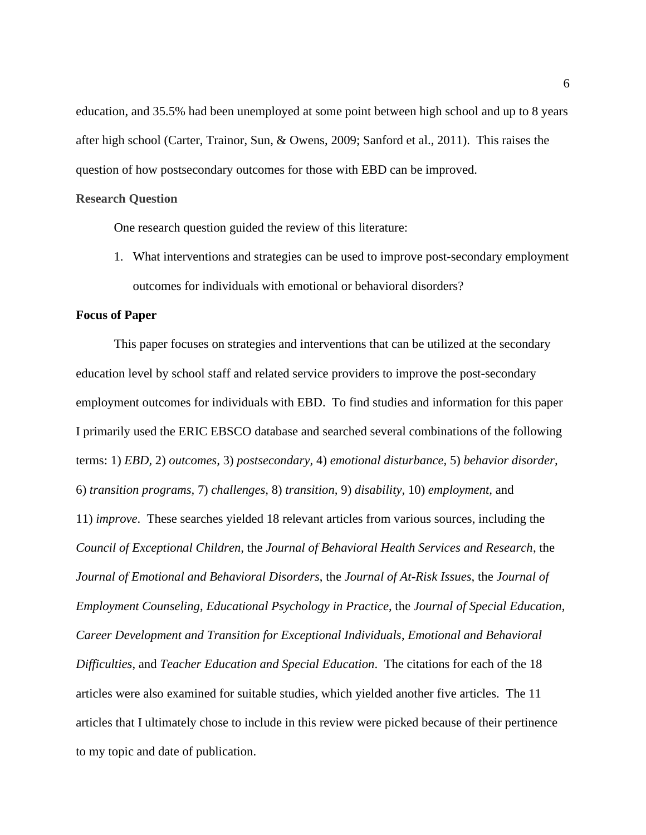education, and 35.5% had been unemployed at some point between high school and up to 8 years after high school (Carter, Trainor, Sun, & Owens, 2009; Sanford et al., 2011). This raises the question of how postsecondary outcomes for those with EBD can be improved.

### **Research Question**

One research question guided the review of this literature:

1. What interventions and strategies can be used to improve post-secondary employment outcomes for individuals with emotional or behavioral disorders?

### **Focus of Paper**

This paper focuses on strategies and interventions that can be utilized at the secondary education level by school staff and related service providers to improve the post-secondary employment outcomes for individuals with EBD. To find studies and information for this paper I primarily used the ERIC EBSCO database and searched several combinations of the following terms: 1) *EBD,* 2) *outcomes,* 3) *postsecondary,* 4) *emotional disturbance,* 5) *behavior disorder,*  6) *transition programs,* 7) *challenges,* 8) *transition,* 9) *disability,* 10) *employment,* and 11) *improve*. These searches yielded 18 relevant articles from various sources, including the *Council of Exceptional Children,* the *Journal of Behavioral Health Services and Research*, the *Journal of Emotional and Behavioral Disorders*, the *Journal of At-Risk Issues*, the *Journal of Employment Counseling*, *Educational Psychology in Practice*, the *Journal of Special Education*, *Career Development and Transition for Exceptional Individuals*, *Emotional and Behavioral Difficulties*, and *Teacher Education and Special Education*. The citations for each of the 18 articles were also examined for suitable studies, which yielded another five articles. The 11 articles that I ultimately chose to include in this review were picked because of their pertinence to my topic and date of publication.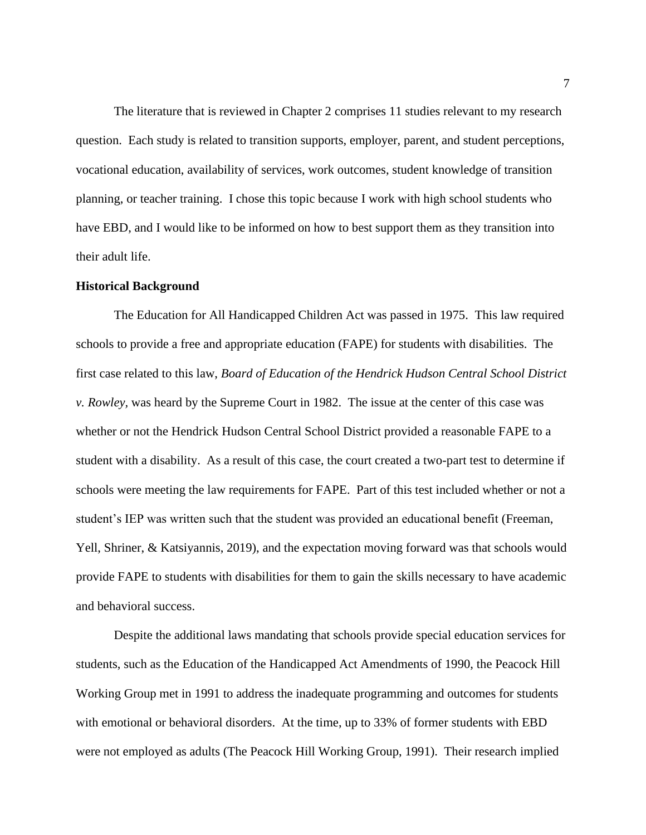The literature that is reviewed in Chapter 2 comprises 11 studies relevant to my research question. Each study is related to transition supports, employer, parent, and student perceptions, vocational education, availability of services, work outcomes, student knowledge of transition planning, or teacher training. I chose this topic because I work with high school students who have EBD, and I would like to be informed on how to best support them as they transition into their adult life.

#### **Historical Background**

The Education for All Handicapped Children Act was passed in 1975. This law required schools to provide a free and appropriate education (FAPE) for students with disabilities. The first case related to this law, *Board of Education of the Hendrick Hudson Central School District v. Rowley,* was heard by the Supreme Court in 1982. The issue at the center of this case was whether or not the Hendrick Hudson Central School District provided a reasonable FAPE to a student with a disability. As a result of this case, the court created a two-part test to determine if schools were meeting the law requirements for FAPE. Part of this test included whether or not a student's IEP was written such that the student was provided an educational benefit (Freeman, Yell, Shriner, & Katsiyannis, 2019), and the expectation moving forward was that schools would provide FAPE to students with disabilities for them to gain the skills necessary to have academic and behavioral success.

Despite the additional laws mandating that schools provide special education services for students, such as the Education of the Handicapped Act Amendments of 1990, the Peacock Hill Working Group met in 1991 to address the inadequate programming and outcomes for students with emotional or behavioral disorders. At the time, up to 33% of former students with EBD were not employed as adults (The Peacock Hill Working Group, 1991). Their research implied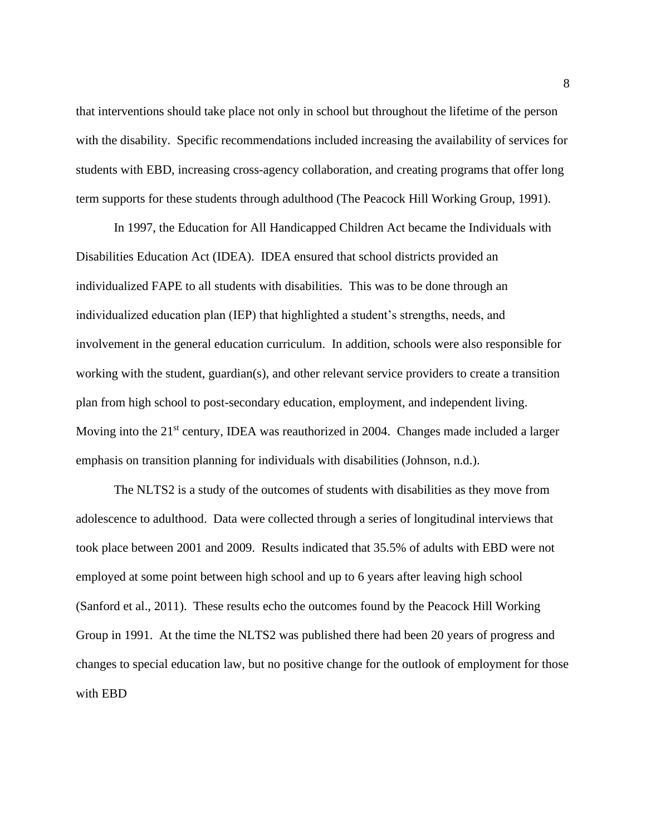that interventions should take place not only in school but throughout the lifetime of the person with the disability. Specific recommendations included increasing the availability of services for students with EBD, increasing cross-agency collaboration, and creating programs that offer long term supports for these students through adulthood (The Peacock Hill Working Group, 1991).

In 1997, the Education for All Handicapped Children Act became the Individuals with Disabilities Education Act (IDEA). IDEA ensured that school districts provided an individualized FAPE to all students with disabilities. This was to be done through an individualized education plan (IEP) that highlighted a student's strengths, needs, and involvement in the general education curriculum. In addition, schools were also responsible for working with the student, guardian(s), and other relevant service providers to create a transition plan from high school to post-secondary education, employment, and independent living. Moving into the 21<sup>st</sup> century, IDEA was reauthorized in 2004. Changes made included a larger emphasis on transition planning for individuals with disabilities (Johnson, n.d.).

The NLTS2 is a study of the outcomes of students with disabilities as they move from adolescence to adulthood. Data were collected through a series of longitudinal interviews that took place between 2001 and 2009. Results indicated that 35.5% of adults with EBD were not employed at some point between high school and up to 6 years after leaving high school (Sanford et al., 2011). These results echo the outcomes found by the Peacock Hill Working Group in 1991. At the time the NLTS2 was published there had been 20 years of progress and changes to special education law, but no positive change for the outlook of employment for those with EBD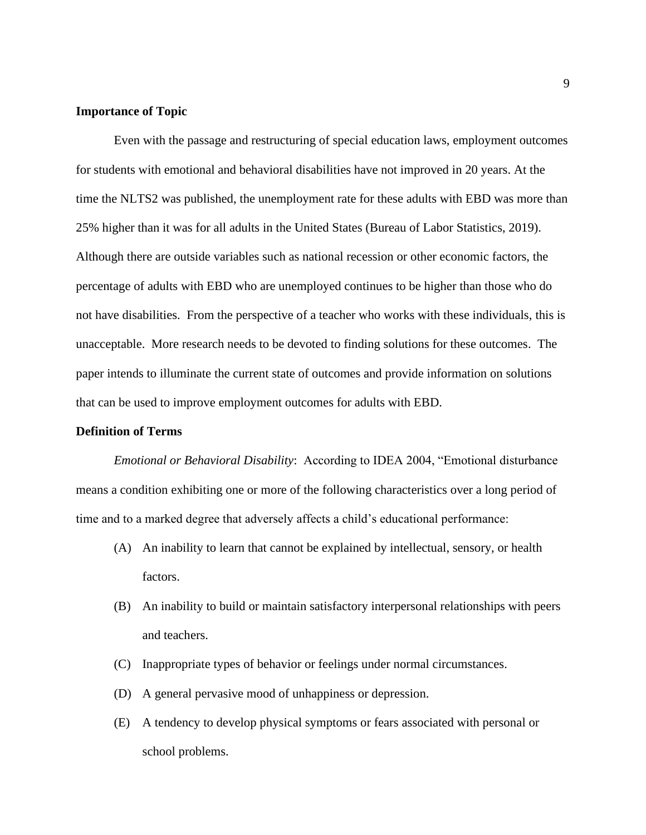#### **Importance of Topic**

Even with the passage and restructuring of special education laws, employment outcomes for students with emotional and behavioral disabilities have not improved in 20 years. At the time the NLTS2 was published, the unemployment rate for these adults with EBD was more than 25% higher than it was for all adults in the United States (Bureau of Labor Statistics, 2019). Although there are outside variables such as national recession or other economic factors, the percentage of adults with EBD who are unemployed continues to be higher than those who do not have disabilities. From the perspective of a teacher who works with these individuals, this is unacceptable. More research needs to be devoted to finding solutions for these outcomes. The paper intends to illuminate the current state of outcomes and provide information on solutions that can be used to improve employment outcomes for adults with EBD.

# **Definition of Terms**

*Emotional or Behavioral Disability*: According to IDEA 2004, "Emotional disturbance means a condition exhibiting one or more of the following characteristics over a long period of time and to a marked degree that adversely affects a child's educational performance:

- (A) An inability to learn that cannot be explained by intellectual, sensory, or health factors.
- (B) An inability to build or maintain satisfactory interpersonal relationships with peers and teachers.
- (C) Inappropriate types of behavior or feelings under normal circumstances.
- (D) A general pervasive mood of unhappiness or depression.
- (E) A tendency to develop physical symptoms or fears associated with personal or school problems.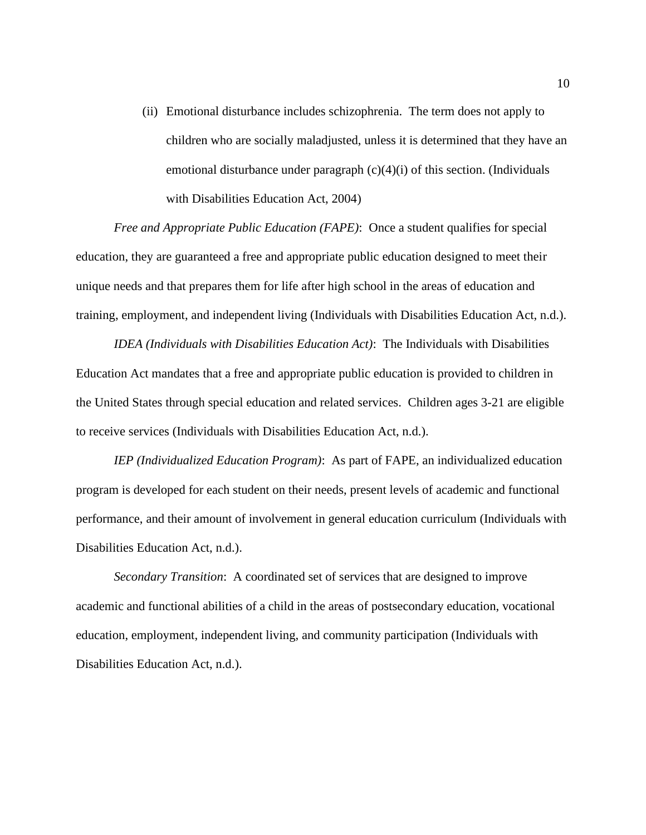(ii) Emotional disturbance includes schizophrenia. The term does not apply to children who are socially maladjusted, unless it is determined that they have an emotional disturbance under paragraph  $(c)(4)(i)$  of this section. (Individuals with Disabilities Education Act, 2004)

*Free and Appropriate Public Education (FAPE)*: Once a student qualifies for special education, they are guaranteed a free and appropriate public education designed to meet their unique needs and that prepares them for life after high school in the areas of education and training, employment, and independent living (Individuals with Disabilities Education Act, n.d.).

*IDEA (Individuals with Disabilities Education Act)*: The Individuals with Disabilities Education Act mandates that a free and appropriate public education is provided to children in the United States through special education and related services. Children ages 3-21 are eligible to receive services (Individuals with Disabilities Education Act, n.d.).

*IEP (Individualized Education Program)*: As part of FAPE, an individualized education program is developed for each student on their needs, present levels of academic and functional performance, and their amount of involvement in general education curriculum (Individuals with Disabilities Education Act, n.d.).

*Secondary Transition*: A coordinated set of services that are designed to improve academic and functional abilities of a child in the areas of postsecondary education, vocational education, employment, independent living, and community participation (Individuals with Disabilities Education Act, n.d.).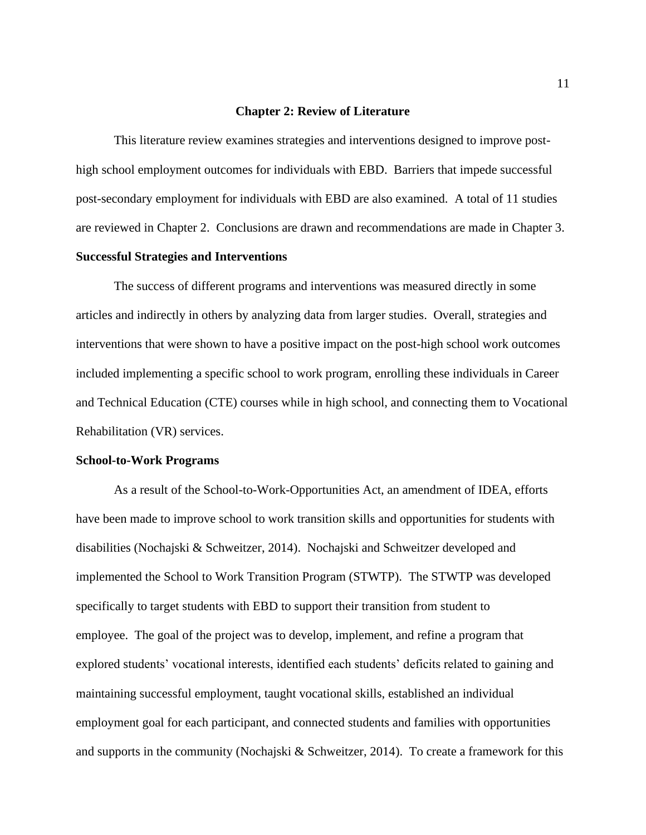#### **Chapter 2: Review of Literature**

This literature review examines strategies and interventions designed to improve posthigh school employment outcomes for individuals with EBD. Barriers that impede successful post-secondary employment for individuals with EBD are also examined. A total of 11 studies are reviewed in Chapter 2. Conclusions are drawn and recommendations are made in Chapter 3. **Successful Strategies and Interventions**

The success of different programs and interventions was measured directly in some articles and indirectly in others by analyzing data from larger studies. Overall, strategies and interventions that were shown to have a positive impact on the post-high school work outcomes included implementing a specific school to work program, enrolling these individuals in Career and Technical Education (CTE) courses while in high school, and connecting them to Vocational Rehabilitation (VR) services.

#### **School-to-Work Programs**

As a result of the School-to-Work-Opportunities Act, an amendment of IDEA, efforts have been made to improve school to work transition skills and opportunities for students with disabilities (Nochajski & Schweitzer, 2014). Nochajski and Schweitzer developed and implemented the School to Work Transition Program (STWTP). The STWTP was developed specifically to target students with EBD to support their transition from student to employee. The goal of the project was to develop, implement, and refine a program that explored students' vocational interests, identified each students' deficits related to gaining and maintaining successful employment, taught vocational skills, established an individual employment goal for each participant, and connected students and families with opportunities and supports in the community (Nochajski & Schweitzer, 2014). To create a framework for this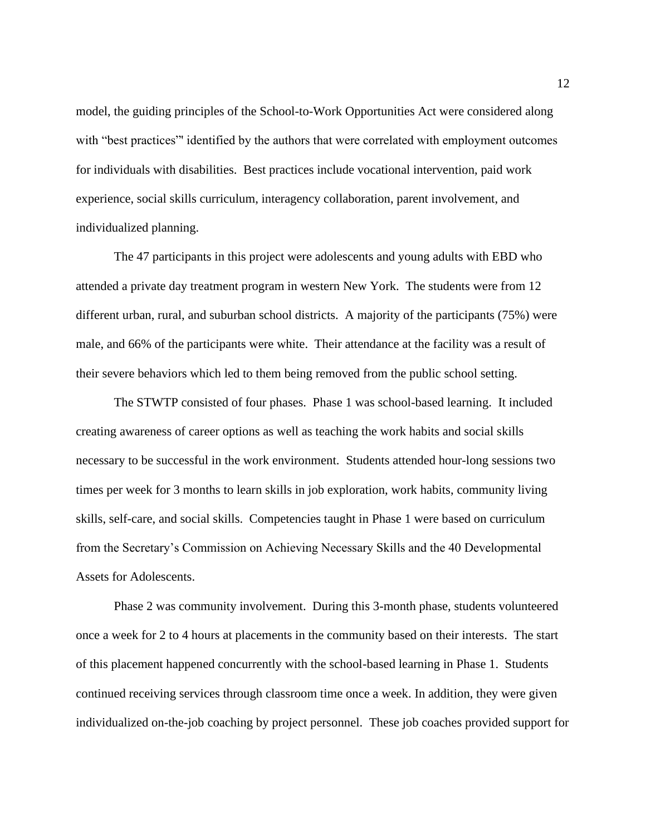model, the guiding principles of the School-to-Work Opportunities Act were considered along with "best practices" identified by the authors that were correlated with employment outcomes for individuals with disabilities. Best practices include vocational intervention, paid work experience, social skills curriculum, interagency collaboration, parent involvement, and individualized planning.

The 47 participants in this project were adolescents and young adults with EBD who attended a private day treatment program in western New York. The students were from 12 different urban, rural, and suburban school districts. A majority of the participants (75%) were male, and 66% of the participants were white. Their attendance at the facility was a result of their severe behaviors which led to them being removed from the public school setting.

The STWTP consisted of four phases. Phase 1 was school-based learning. It included creating awareness of career options as well as teaching the work habits and social skills necessary to be successful in the work environment. Students attended hour-long sessions two times per week for 3 months to learn skills in job exploration, work habits, community living skills, self-care, and social skills. Competencies taught in Phase 1 were based on curriculum from the Secretary's Commission on Achieving Necessary Skills and the 40 Developmental Assets for Adolescents.

Phase 2 was community involvement. During this 3-month phase, students volunteered once a week for 2 to 4 hours at placements in the community based on their interests. The start of this placement happened concurrently with the school-based learning in Phase 1. Students continued receiving services through classroom time once a week. In addition, they were given individualized on-the-job coaching by project personnel. These job coaches provided support for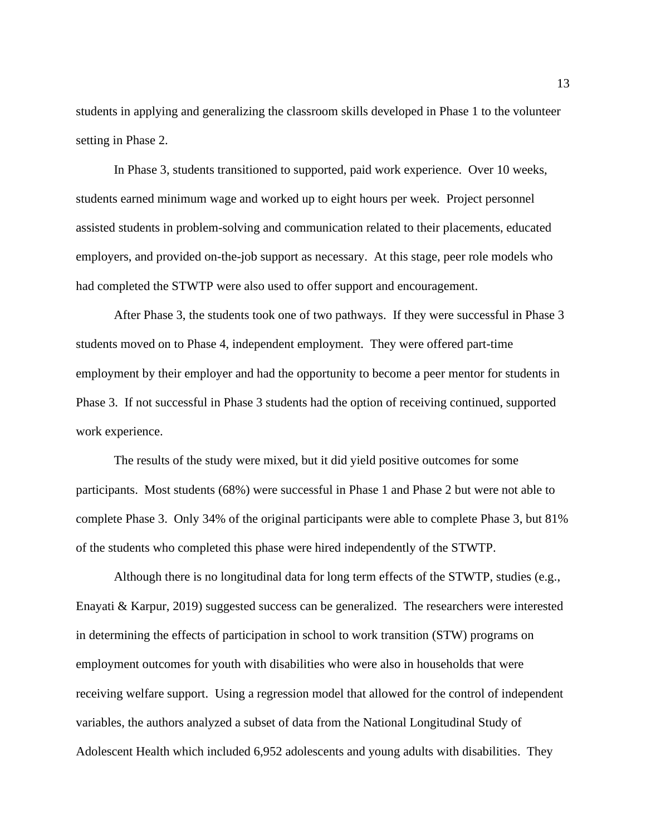students in applying and generalizing the classroom skills developed in Phase 1 to the volunteer setting in Phase 2.

In Phase 3, students transitioned to supported, paid work experience. Over 10 weeks, students earned minimum wage and worked up to eight hours per week. Project personnel assisted students in problem-solving and communication related to their placements, educated employers, and provided on-the-job support as necessary. At this stage, peer role models who had completed the STWTP were also used to offer support and encouragement.

After Phase 3, the students took one of two pathways. If they were successful in Phase 3 students moved on to Phase 4, independent employment. They were offered part-time employment by their employer and had the opportunity to become a peer mentor for students in Phase 3. If not successful in Phase 3 students had the option of receiving continued, supported work experience.

The results of the study were mixed, but it did yield positive outcomes for some participants. Most students (68%) were successful in Phase 1 and Phase 2 but were not able to complete Phase 3. Only 34% of the original participants were able to complete Phase 3, but 81% of the students who completed this phase were hired independently of the STWTP.

Although there is no longitudinal data for long term effects of the STWTP, studies (e.g., Enayati & Karpur, 2019) suggested success can be generalized. The researchers were interested in determining the effects of participation in school to work transition (STW) programs on employment outcomes for youth with disabilities who were also in households that were receiving welfare support. Using a regression model that allowed for the control of independent variables, the authors analyzed a subset of data from the National Longitudinal Study of Adolescent Health which included 6,952 adolescents and young adults with disabilities. They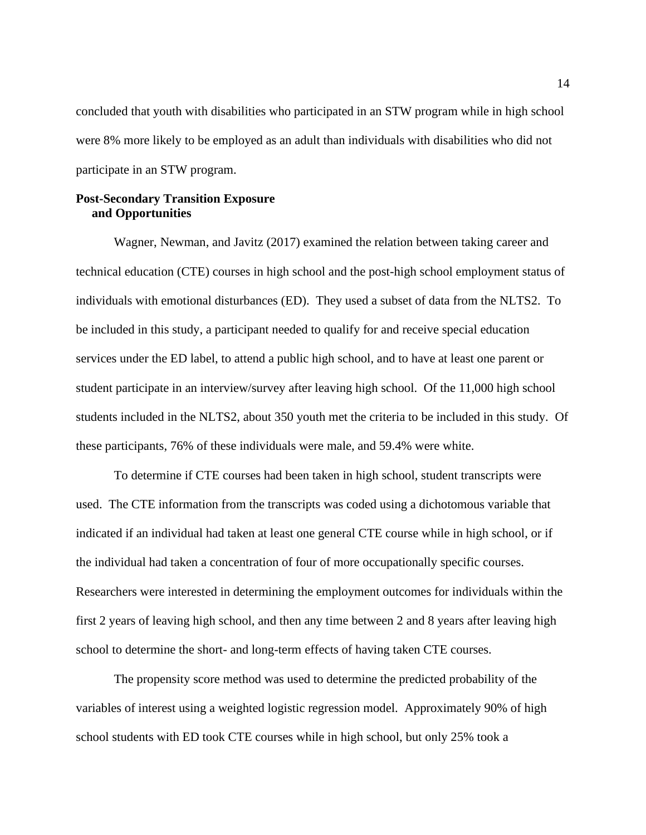concluded that youth with disabilities who participated in an STW program while in high school were 8% more likely to be employed as an adult than individuals with disabilities who did not participate in an STW program.

# **Post-Secondary Transition Exposure and Opportunities**

Wagner, Newman, and Javitz (2017) examined the relation between taking career and technical education (CTE) courses in high school and the post-high school employment status of individuals with emotional disturbances (ED). They used a subset of data from the NLTS2. To be included in this study, a participant needed to qualify for and receive special education services under the ED label, to attend a public high school, and to have at least one parent or student participate in an interview/survey after leaving high school. Of the 11,000 high school students included in the NLTS2, about 350 youth met the criteria to be included in this study. Of these participants, 76% of these individuals were male, and 59.4% were white.

To determine if CTE courses had been taken in high school, student transcripts were used. The CTE information from the transcripts was coded using a dichotomous variable that indicated if an individual had taken at least one general CTE course while in high school, or if the individual had taken a concentration of four of more occupationally specific courses. Researchers were interested in determining the employment outcomes for individuals within the first 2 years of leaving high school, and then any time between 2 and 8 years after leaving high school to determine the short- and long-term effects of having taken CTE courses.

The propensity score method was used to determine the predicted probability of the variables of interest using a weighted logistic regression model. Approximately 90% of high school students with ED took CTE courses while in high school, but only 25% took a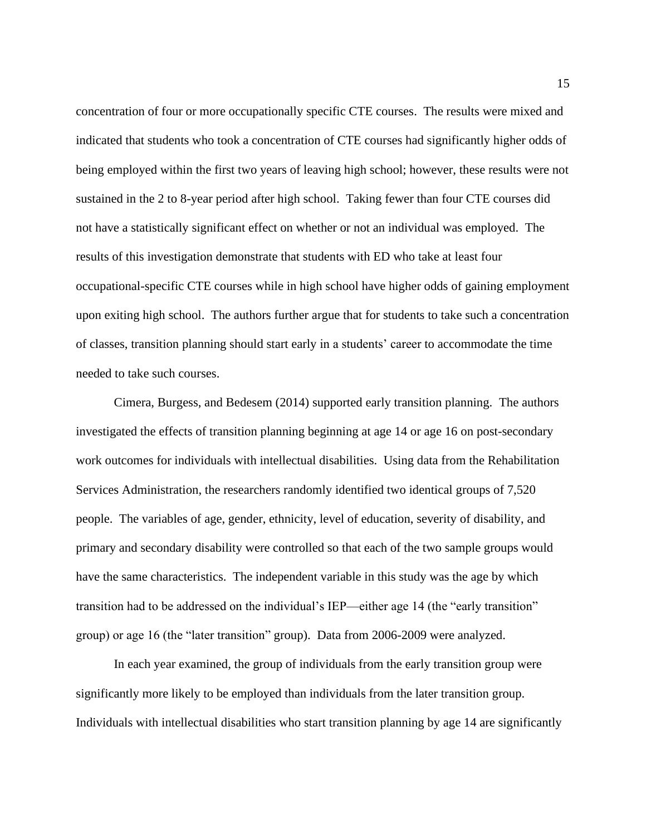concentration of four or more occupationally specific CTE courses. The results were mixed and indicated that students who took a concentration of CTE courses had significantly higher odds of being employed within the first two years of leaving high school; however, these results were not sustained in the 2 to 8-year period after high school. Taking fewer than four CTE courses did not have a statistically significant effect on whether or not an individual was employed. The results of this investigation demonstrate that students with ED who take at least four occupational-specific CTE courses while in high school have higher odds of gaining employment upon exiting high school. The authors further argue that for students to take such a concentration of classes, transition planning should start early in a students' career to accommodate the time needed to take such courses.

Cimera, Burgess, and Bedesem (2014) supported early transition planning. The authors investigated the effects of transition planning beginning at age 14 or age 16 on post-secondary work outcomes for individuals with intellectual disabilities. Using data from the Rehabilitation Services Administration, the researchers randomly identified two identical groups of 7,520 people. The variables of age, gender, ethnicity, level of education, severity of disability, and primary and secondary disability were controlled so that each of the two sample groups would have the same characteristics. The independent variable in this study was the age by which transition had to be addressed on the individual's IEP—either age 14 (the "early transition" group) or age 16 (the "later transition" group). Data from 2006-2009 were analyzed.

In each year examined, the group of individuals from the early transition group were significantly more likely to be employed than individuals from the later transition group. Individuals with intellectual disabilities who start transition planning by age 14 are significantly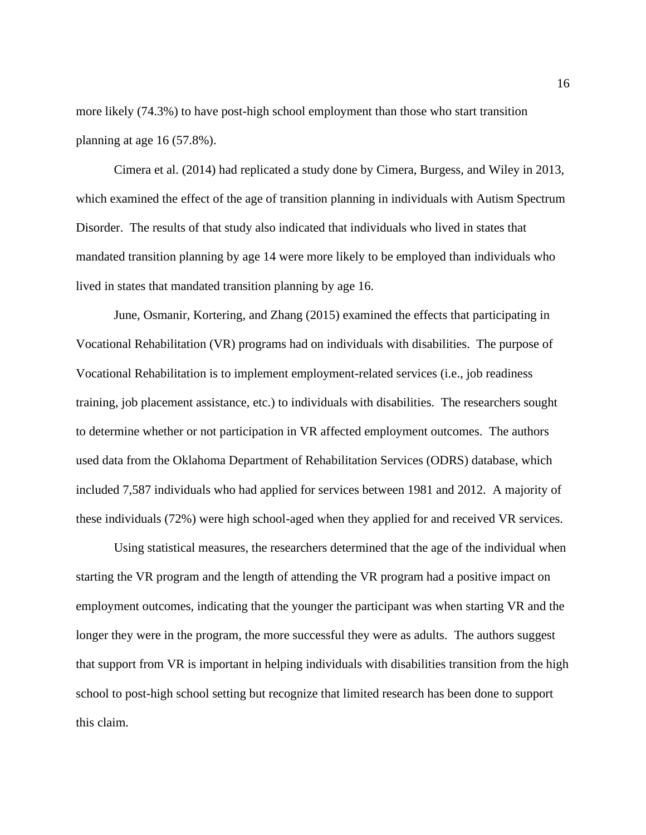more likely (74.3%) to have post-high school employment than those who start transition planning at age 16 (57.8%).

Cimera et al. (2014) had replicated a study done by Cimera, Burgess, and Wiley in 2013, which examined the effect of the age of transition planning in individuals with Autism Spectrum Disorder. The results of that study also indicated that individuals who lived in states that mandated transition planning by age 14 were more likely to be employed than individuals who lived in states that mandated transition planning by age 16.

June, Osmanir, Kortering, and Zhang (2015) examined the effects that participating in Vocational Rehabilitation (VR) programs had on individuals with disabilities. The purpose of Vocational Rehabilitation is to implement employment-related services (i.e., job readiness training, job placement assistance, etc.) to individuals with disabilities. The researchers sought to determine whether or not participation in VR affected employment outcomes. The authors used data from the Oklahoma Department of Rehabilitation Services (ODRS) database, which included 7,587 individuals who had applied for services between 1981 and 2012. A majority of these individuals (72%) were high school-aged when they applied for and received VR services.

Using statistical measures, the researchers determined that the age of the individual when starting the VR program and the length of attending the VR program had a positive impact on employment outcomes, indicating that the younger the participant was when starting VR and the longer they were in the program, the more successful they were as adults. The authors suggest that support from VR is important in helping individuals with disabilities transition from the high school to post-high school setting but recognize that limited research has been done to support this claim.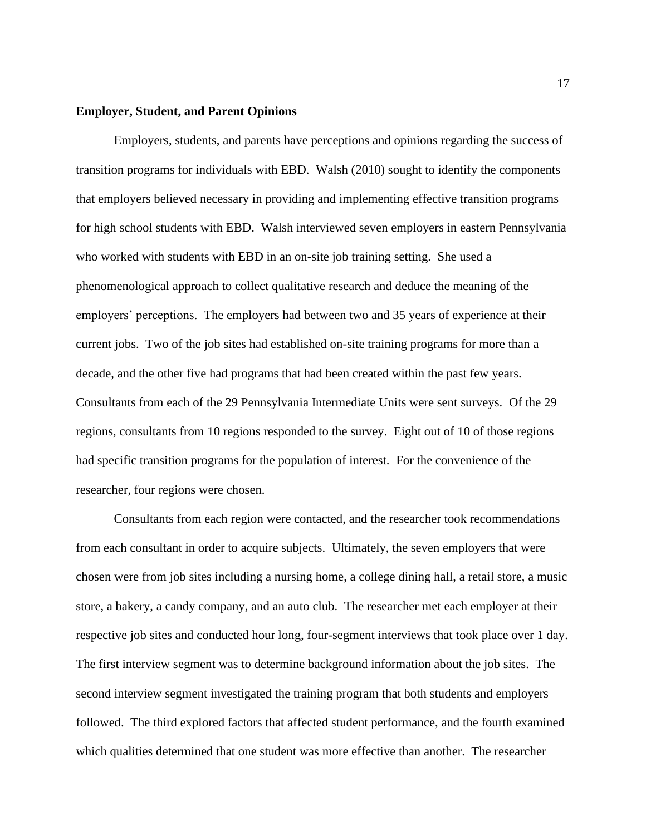#### **Employer, Student, and Parent Opinions**

Employers, students, and parents have perceptions and opinions regarding the success of transition programs for individuals with EBD. Walsh (2010) sought to identify the components that employers believed necessary in providing and implementing effective transition programs for high school students with EBD. Walsh interviewed seven employers in eastern Pennsylvania who worked with students with EBD in an on-site job training setting. She used a phenomenological approach to collect qualitative research and deduce the meaning of the employers' perceptions. The employers had between two and 35 years of experience at their current jobs. Two of the job sites had established on-site training programs for more than a decade, and the other five had programs that had been created within the past few years. Consultants from each of the 29 Pennsylvania Intermediate Units were sent surveys. Of the 29 regions, consultants from 10 regions responded to the survey. Eight out of 10 of those regions had specific transition programs for the population of interest. For the convenience of the researcher, four regions were chosen.

Consultants from each region were contacted, and the researcher took recommendations from each consultant in order to acquire subjects. Ultimately, the seven employers that were chosen were from job sites including a nursing home, a college dining hall, a retail store, a music store, a bakery, a candy company, and an auto club. The researcher met each employer at their respective job sites and conducted hour long, four-segment interviews that took place over 1 day. The first interview segment was to determine background information about the job sites. The second interview segment investigated the training program that both students and employers followed. The third explored factors that affected student performance, and the fourth examined which qualities determined that one student was more effective than another. The researcher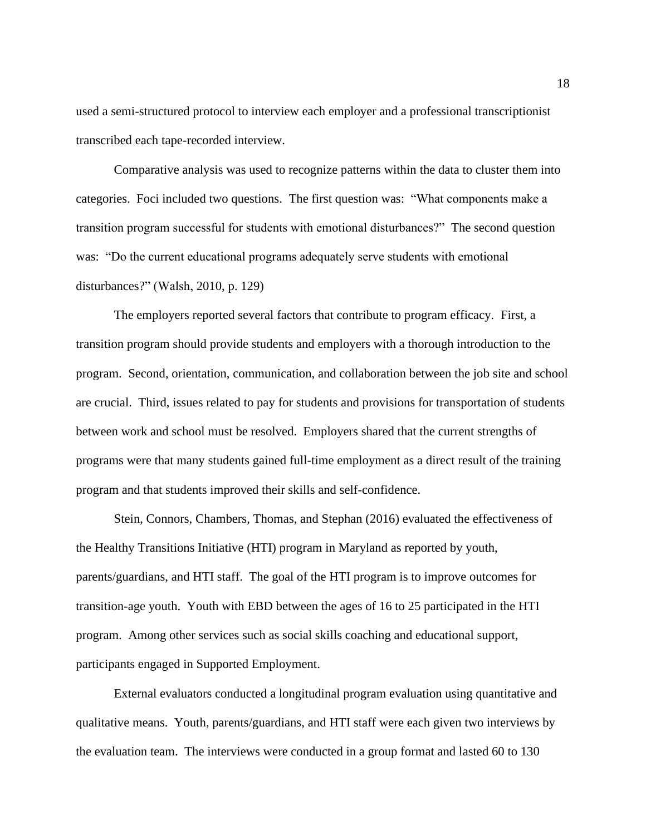used a semi-structured protocol to interview each employer and a professional transcriptionist transcribed each tape-recorded interview.

Comparative analysis was used to recognize patterns within the data to cluster them into categories. Foci included two questions. The first question was: "What components make a transition program successful for students with emotional disturbances?" The second question was: "Do the current educational programs adequately serve students with emotional disturbances?" (Walsh, 2010, p. 129)

The employers reported several factors that contribute to program efficacy. First, a transition program should provide students and employers with a thorough introduction to the program. Second, orientation, communication, and collaboration between the job site and school are crucial. Third, issues related to pay for students and provisions for transportation of students between work and school must be resolved. Employers shared that the current strengths of programs were that many students gained full-time employment as a direct result of the training program and that students improved their skills and self-confidence.

Stein, Connors, Chambers, Thomas, and Stephan (2016) evaluated the effectiveness of the Healthy Transitions Initiative (HTI) program in Maryland as reported by youth, parents/guardians, and HTI staff. The goal of the HTI program is to improve outcomes for transition-age youth. Youth with EBD between the ages of 16 to 25 participated in the HTI program. Among other services such as social skills coaching and educational support, participants engaged in Supported Employment.

External evaluators conducted a longitudinal program evaluation using quantitative and qualitative means. Youth, parents/guardians, and HTI staff were each given two interviews by the evaluation team. The interviews were conducted in a group format and lasted 60 to 130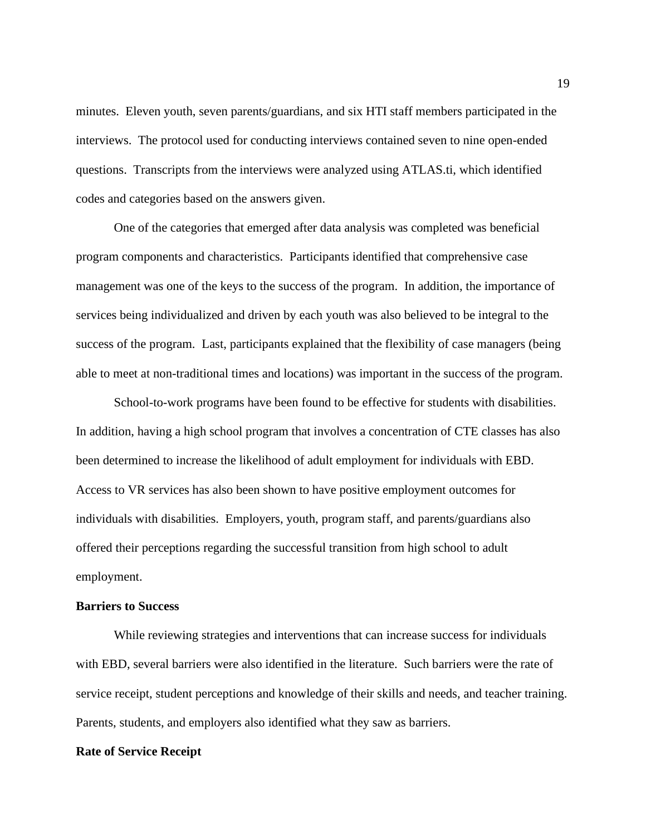minutes. Eleven youth, seven parents/guardians, and six HTI staff members participated in the interviews. The protocol used for conducting interviews contained seven to nine open-ended questions. Transcripts from the interviews were analyzed using ATLAS.ti, which identified codes and categories based on the answers given.

One of the categories that emerged after data analysis was completed was beneficial program components and characteristics. Participants identified that comprehensive case management was one of the keys to the success of the program. In addition, the importance of services being individualized and driven by each youth was also believed to be integral to the success of the program. Last, participants explained that the flexibility of case managers (being able to meet at non-traditional times and locations) was important in the success of the program.

School-to-work programs have been found to be effective for students with disabilities. In addition, having a high school program that involves a concentration of CTE classes has also been determined to increase the likelihood of adult employment for individuals with EBD. Access to VR services has also been shown to have positive employment outcomes for individuals with disabilities. Employers, youth, program staff, and parents/guardians also offered their perceptions regarding the successful transition from high school to adult employment.

# **Barriers to Success**

While reviewing strategies and interventions that can increase success for individuals with EBD, several barriers were also identified in the literature. Such barriers were the rate of service receipt, student perceptions and knowledge of their skills and needs, and teacher training. Parents, students, and employers also identified what they saw as barriers.

#### **Rate of Service Receipt**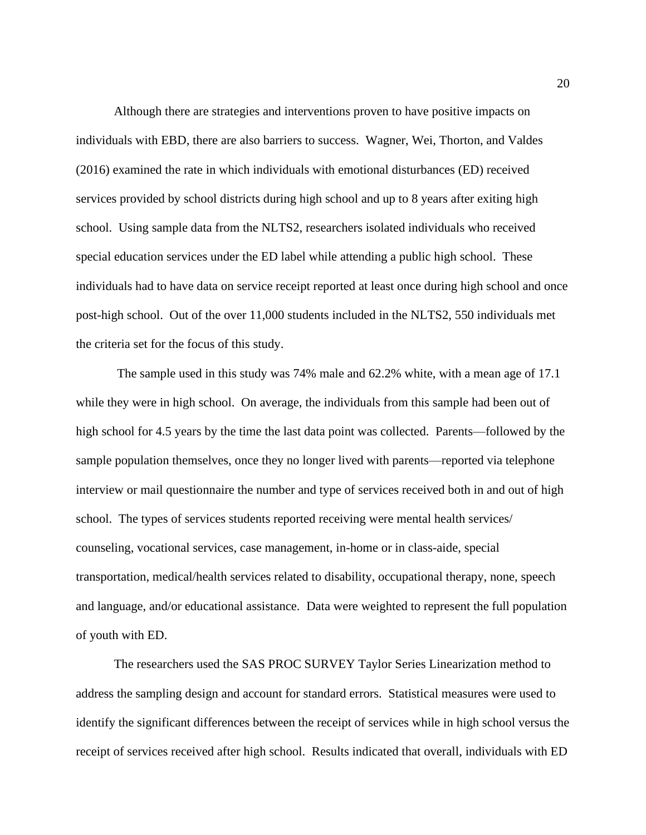Although there are strategies and interventions proven to have positive impacts on individuals with EBD, there are also barriers to success. Wagner, Wei, Thorton, and Valdes (2016) examined the rate in which individuals with emotional disturbances (ED) received services provided by school districts during high school and up to 8 years after exiting high school. Using sample data from the NLTS2, researchers isolated individuals who received special education services under the ED label while attending a public high school. These individuals had to have data on service receipt reported at least once during high school and once post-high school. Out of the over 11,000 students included in the NLTS2, 550 individuals met the criteria set for the focus of this study.

The sample used in this study was 74% male and 62.2% white, with a mean age of 17.1 while they were in high school. On average, the individuals from this sample had been out of high school for 4.5 years by the time the last data point was collected. Parents—followed by the sample population themselves, once they no longer lived with parents—reported via telephone interview or mail questionnaire the number and type of services received both in and out of high school. The types of services students reported receiving were mental health services/ counseling, vocational services, case management, in-home or in class-aide, special transportation, medical/health services related to disability, occupational therapy, none, speech and language, and/or educational assistance. Data were weighted to represent the full population of youth with ED.

The researchers used the SAS PROC SURVEY Taylor Series Linearization method to address the sampling design and account for standard errors. Statistical measures were used to identify the significant differences between the receipt of services while in high school versus the receipt of services received after high school. Results indicated that overall, individuals with ED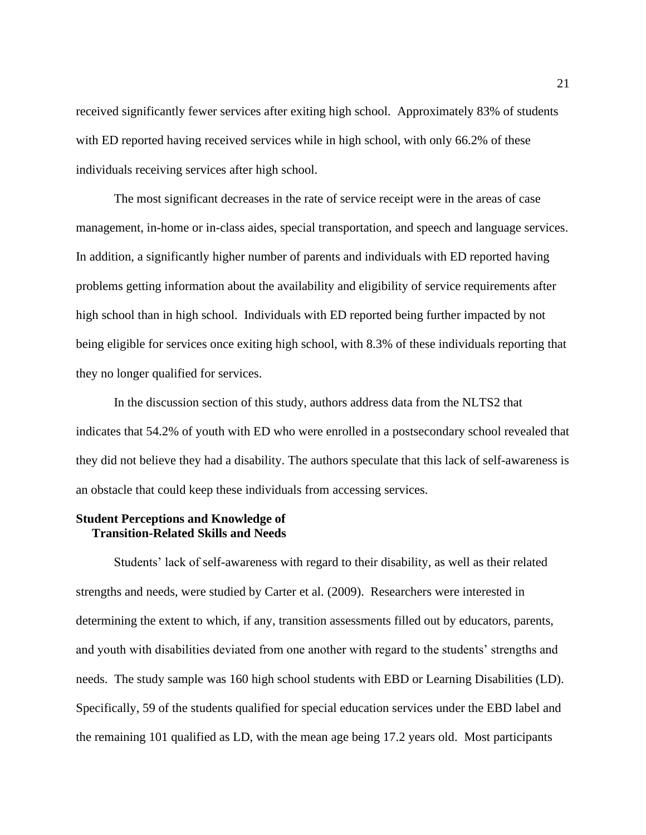received significantly fewer services after exiting high school. Approximately 83% of students with ED reported having received services while in high school, with only 66.2% of these individuals receiving services after high school.

The most significant decreases in the rate of service receipt were in the areas of case management, in-home or in-class aides, special transportation, and speech and language services. In addition, a significantly higher number of parents and individuals with ED reported having problems getting information about the availability and eligibility of service requirements after high school than in high school. Individuals with ED reported being further impacted by not being eligible for services once exiting high school, with 8.3% of these individuals reporting that they no longer qualified for services.

In the discussion section of this study, authors address data from the NLTS2 that indicates that 54.2% of youth with ED who were enrolled in a postsecondary school revealed that they did not believe they had a disability. The authors speculate that this lack of self-awareness is an obstacle that could keep these individuals from accessing services.

# **Student Perceptions and Knowledge of Transition-Related Skills and Needs**

Students' lack of self-awareness with regard to their disability, as well as their related strengths and needs, were studied by Carter et al. (2009). Researchers were interested in determining the extent to which, if any, transition assessments filled out by educators, parents, and youth with disabilities deviated from one another with regard to the students' strengths and needs. The study sample was 160 high school students with EBD or Learning Disabilities (LD). Specifically, 59 of the students qualified for special education services under the EBD label and the remaining 101 qualified as LD, with the mean age being 17.2 years old. Most participants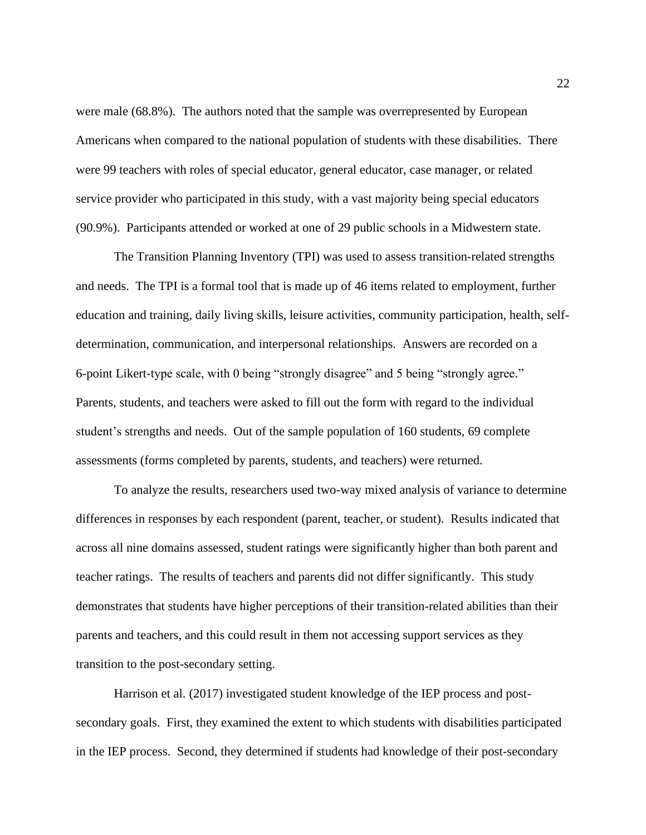were male (68.8%). The authors noted that the sample was overrepresented by European Americans when compared to the national population of students with these disabilities. There were 99 teachers with roles of special educator, general educator, case manager, or related service provider who participated in this study, with a vast majority being special educators (90.9%). Participants attended or worked at one of 29 public schools in a Midwestern state.

The Transition Planning Inventory (TPI) was used to assess transition-related strengths and needs. The TPI is a formal tool that is made up of 46 items related to employment, further education and training, daily living skills, leisure activities, community participation, health, selfdetermination, communication, and interpersonal relationships. Answers are recorded on a 6-point Likert-type scale, with 0 being "strongly disagree" and 5 being "strongly agree." Parents, students, and teachers were asked to fill out the form with regard to the individual student's strengths and needs. Out of the sample population of 160 students, 69 complete assessments (forms completed by parents, students, and teachers) were returned.

To analyze the results, researchers used two-way mixed analysis of variance to determine differences in responses by each respondent (parent, teacher, or student). Results indicated that across all nine domains assessed, student ratings were significantly higher than both parent and teacher ratings. The results of teachers and parents did not differ significantly. This study demonstrates that students have higher perceptions of their transition-related abilities than their parents and teachers, and this could result in them not accessing support services as they transition to the post-secondary setting.

Harrison et al. (2017) investigated student knowledge of the IEP process and postsecondary goals. First, they examined the extent to which students with disabilities participated in the IEP process. Second, they determined if students had knowledge of their post-secondary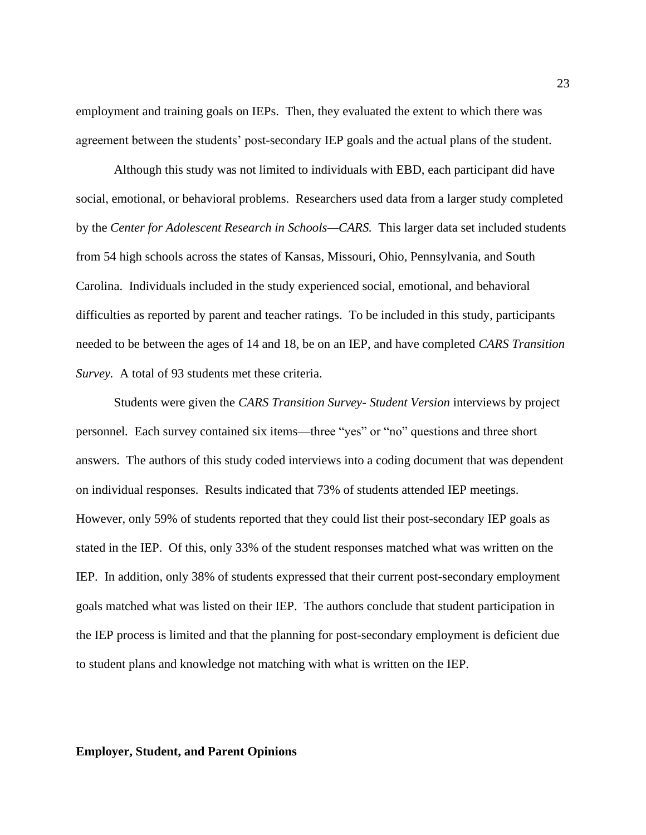employment and training goals on IEPs. Then, they evaluated the extent to which there was agreement between the students' post-secondary IEP goals and the actual plans of the student.

Although this study was not limited to individuals with EBD, each participant did have social, emotional, or behavioral problems. Researchers used data from a larger study completed by the *Center for Adolescent Research in Schools—CARS.* This larger data set included students from 54 high schools across the states of Kansas, Missouri, Ohio, Pennsylvania, and South Carolina. Individuals included in the study experienced social, emotional, and behavioral difficulties as reported by parent and teacher ratings. To be included in this study, participants needed to be between the ages of 14 and 18, be on an IEP, and have completed *CARS Transition Survey.* A total of 93 students met these criteria.

Students were given the *CARS Transition Survey- Student Version* interviews by project personnel*.* Each survey contained six items—three "yes" or "no" questions and three short answers. The authors of this study coded interviews into a coding document that was dependent on individual responses. Results indicated that 73% of students attended IEP meetings. However, only 59% of students reported that they could list their post-secondary IEP goals as stated in the IEP. Of this, only 33% of the student responses matched what was written on the IEP. In addition, only 38% of students expressed that their current post-secondary employment goals matched what was listed on their IEP. The authors conclude that student participation in the IEP process is limited and that the planning for post-secondary employment is deficient due to student plans and knowledge not matching with what is written on the IEP.

## **Employer, Student, and Parent Opinions**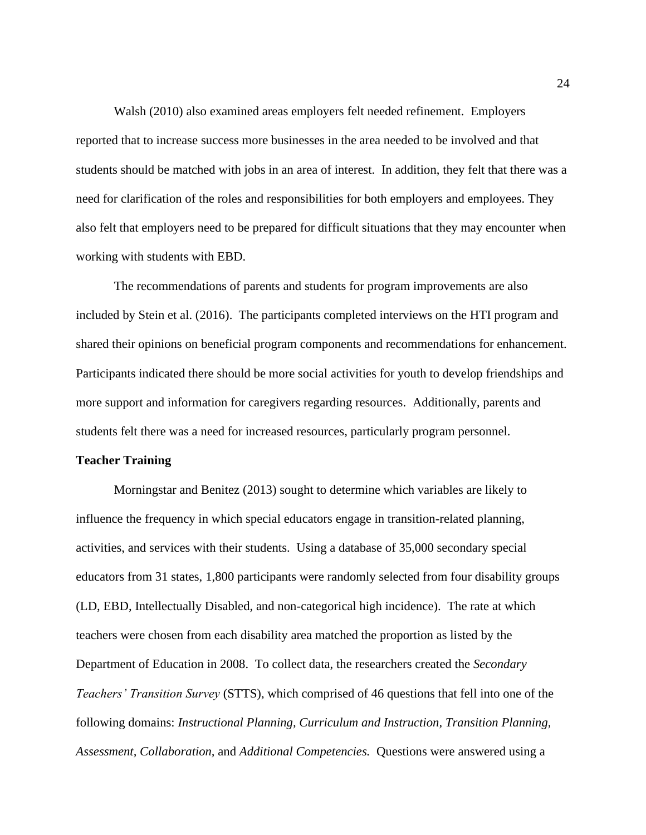Walsh (2010) also examined areas employers felt needed refinement. Employers reported that to increase success more businesses in the area needed to be involved and that students should be matched with jobs in an area of interest. In addition, they felt that there was a need for clarification of the roles and responsibilities for both employers and employees. They also felt that employers need to be prepared for difficult situations that they may encounter when working with students with EBD.

The recommendations of parents and students for program improvements are also included by Stein et al. (2016). The participants completed interviews on the HTI program and shared their opinions on beneficial program components and recommendations for enhancement. Participants indicated there should be more social activities for youth to develop friendships and more support and information for caregivers regarding resources. Additionally, parents and students felt there was a need for increased resources, particularly program personnel.

### **Teacher Training**

Morningstar and Benitez (2013) sought to determine which variables are likely to influence the frequency in which special educators engage in transition-related planning, activities, and services with their students. Using a database of 35,000 secondary special educators from 31 states, 1,800 participants were randomly selected from four disability groups (LD, EBD, Intellectually Disabled, and non-categorical high incidence). The rate at which teachers were chosen from each disability area matched the proportion as listed by the Department of Education in 2008. To collect data, the researchers created the *Secondary Teachers' Transition Survey* (STTS), which comprised of 46 questions that fell into one of the following domains: *Instructional Planning, Curriculum and Instruction, Transition Planning, Assessment, Collaboration,* and *Additional Competencies.* Questions were answered using a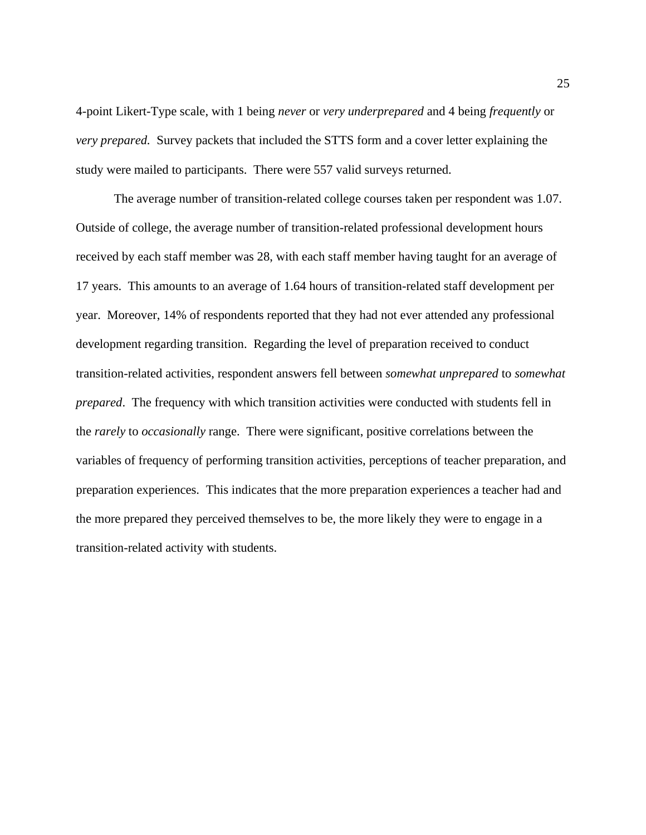4-point Likert-Type scale, with 1 being *never* or *very underprepared* and 4 being *frequently* or *very prepared.* Survey packets that included the STTS form and a cover letter explaining the study were mailed to participants. There were 557 valid surveys returned.

The average number of transition-related college courses taken per respondent was 1.07. Outside of college, the average number of transition-related professional development hours received by each staff member was 28, with each staff member having taught for an average of 17 years. This amounts to an average of 1.64 hours of transition-related staff development per year. Moreover, 14% of respondents reported that they had not ever attended any professional development regarding transition. Regarding the level of preparation received to conduct transition-related activities, respondent answers fell between *somewhat unprepared* to *somewhat prepared*. The frequency with which transition activities were conducted with students fell in the *rarely* to *occasionally* range. There were significant, positive correlations between the variables of frequency of performing transition activities, perceptions of teacher preparation, and preparation experiences. This indicates that the more preparation experiences a teacher had and the more prepared they perceived themselves to be, the more likely they were to engage in a transition-related activity with students.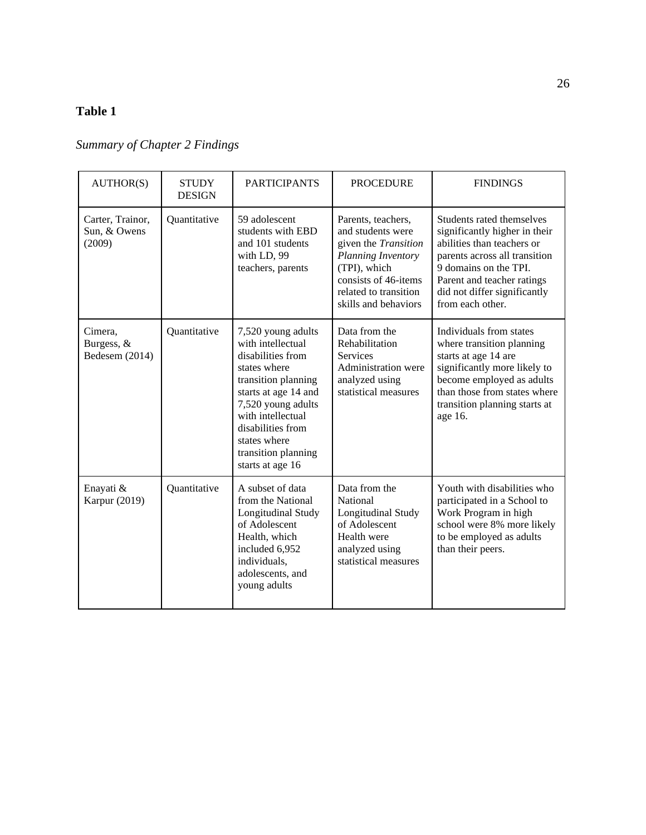# **Table 1**

# *Summary of Chapter 2 Findings*

| AUTHOR(S)                                  | <b>STUDY</b><br><b>DESIGN</b> | <b>PARTICIPANTS</b>                                                                                                                                                                                                                                    | <b>PROCEDURE</b>                                                                                                                                                                      | <b>FINDINGS</b>                                                                                                                                                                                                                      |
|--------------------------------------------|-------------------------------|--------------------------------------------------------------------------------------------------------------------------------------------------------------------------------------------------------------------------------------------------------|---------------------------------------------------------------------------------------------------------------------------------------------------------------------------------------|--------------------------------------------------------------------------------------------------------------------------------------------------------------------------------------------------------------------------------------|
| Carter, Trainor,<br>Sun, & Owens<br>(2009) | Quantitative                  | 59 adolescent<br>students with EBD<br>and 101 students<br>with LD, 99<br>teachers, parents                                                                                                                                                             | Parents, teachers,<br>and students were<br>given the <i>Transition</i><br>Planning Inventory<br>(TPI), which<br>consists of 46-items<br>related to transition<br>skills and behaviors | Students rated themselves<br>significantly higher in their<br>abilities than teachers or<br>parents across all transition<br>9 domains on the TPI.<br>Parent and teacher ratings<br>did not differ significantly<br>from each other. |
| Cimera,<br>Burgess, &<br>Bedesem (2014)    | Quantitative                  | 7,520 young adults<br>with intellectual<br>disabilities from<br>states where<br>transition planning<br>starts at age 14 and<br>7,520 young adults<br>with intellectual<br>disabilities from<br>states where<br>transition planning<br>starts at age 16 | Data from the<br>Rehabilitation<br><b>Services</b><br>Administration were<br>analyzed using<br>statistical measures                                                                   | Individuals from states<br>where transition planning<br>starts at age 14 are<br>significantly more likely to<br>become employed as adults<br>than those from states where<br>transition planning starts at<br>age 16.                |
| Enayati &<br>Karpur (2019)                 | Quantitative                  | A subset of data<br>from the National<br>Longitudinal Study<br>of Adolescent<br>Health, which<br>included 6,952<br>individuals,<br>adolescents, and<br>young adults                                                                                    | Data from the<br>National<br>Longitudinal Study<br>of Adolescent<br>Health were<br>analyzed using<br>statistical measures                                                             | Youth with disabilities who<br>participated in a School to<br>Work Program in high<br>school were 8% more likely<br>to be employed as adults<br>than their peers.                                                                    |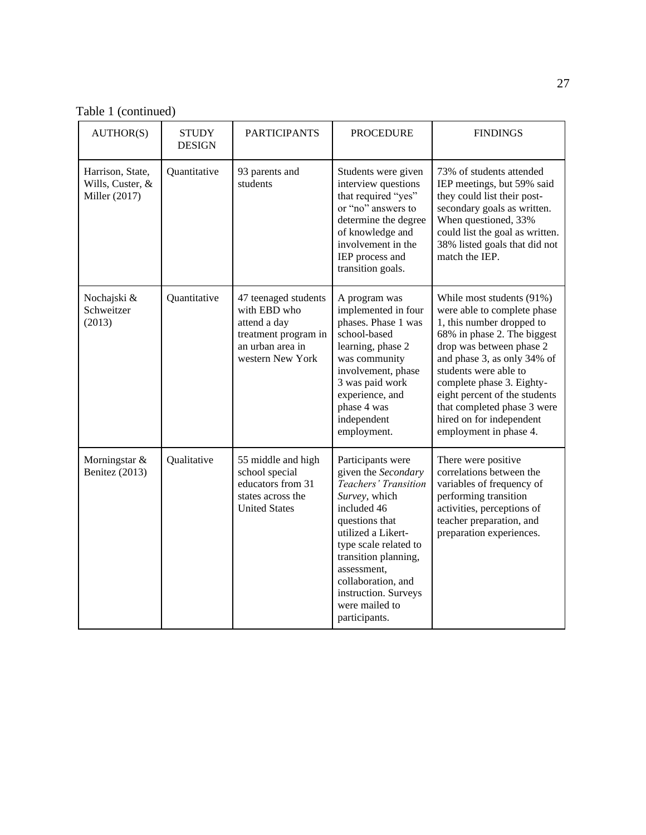Table 1 (continued)

| AUTHOR(S)                                             | <b>STUDY</b><br><b>DESIGN</b> | <b>PARTICIPANTS</b>                                                                                                  | <b>PROCEDURE</b>                                                                                                                                                                                                                                                                          | <b>FINDINGS</b>                                                                                                                                                                                                                                                                                                                                             |
|-------------------------------------------------------|-------------------------------|----------------------------------------------------------------------------------------------------------------------|-------------------------------------------------------------------------------------------------------------------------------------------------------------------------------------------------------------------------------------------------------------------------------------------|-------------------------------------------------------------------------------------------------------------------------------------------------------------------------------------------------------------------------------------------------------------------------------------------------------------------------------------------------------------|
| Harrison, State,<br>Wills, Custer, &<br>Miller (2017) | Quantitative                  | 93 parents and<br>students                                                                                           | Students were given<br>interview questions<br>that required "yes"<br>or "no" answers to<br>determine the degree<br>of knowledge and<br>involvement in the<br>IEP process and<br>transition goals.                                                                                         | 73% of students attended<br>IEP meetings, but 59% said<br>they could list their post-<br>secondary goals as written.<br>When questioned, 33%<br>could list the goal as written.<br>38% listed goals that did not<br>match the IEP.                                                                                                                          |
| Nochajski &<br>Schweitzer<br>(2013)                   | Quantitative                  | 47 teenaged students<br>with EBD who<br>attend a day<br>treatment program in<br>an urban area in<br>western New York | A program was<br>implemented in four<br>phases. Phase 1 was<br>school-based<br>learning, phase 2<br>was community<br>involvement, phase<br>3 was paid work<br>experience, and<br>phase 4 was<br>independent<br>employment.                                                                | While most students (91%)<br>were able to complete phase<br>1, this number dropped to<br>68% in phase 2. The biggest<br>drop was between phase 2<br>and phase 3, as only 34% of<br>students were able to<br>complete phase 3. Eighty-<br>eight percent of the students<br>that completed phase 3 were<br>hired on for independent<br>employment in phase 4. |
| Morningstar &<br>Benitez (2013)                       | Qualitative                   | 55 middle and high<br>school special<br>educators from 31<br>states across the<br><b>United States</b>               | Participants were<br>given the Secondary<br>Teachers' Transition<br>Survey, which<br>included 46<br>questions that<br>utilized a Likert-<br>type scale related to<br>transition planning,<br>assessment,<br>collaboration, and<br>instruction. Surveys<br>were mailed to<br>participants. | There were positive<br>correlations between the<br>variables of frequency of<br>performing transition<br>activities, perceptions of<br>teacher preparation, and<br>preparation experiences.                                                                                                                                                                 |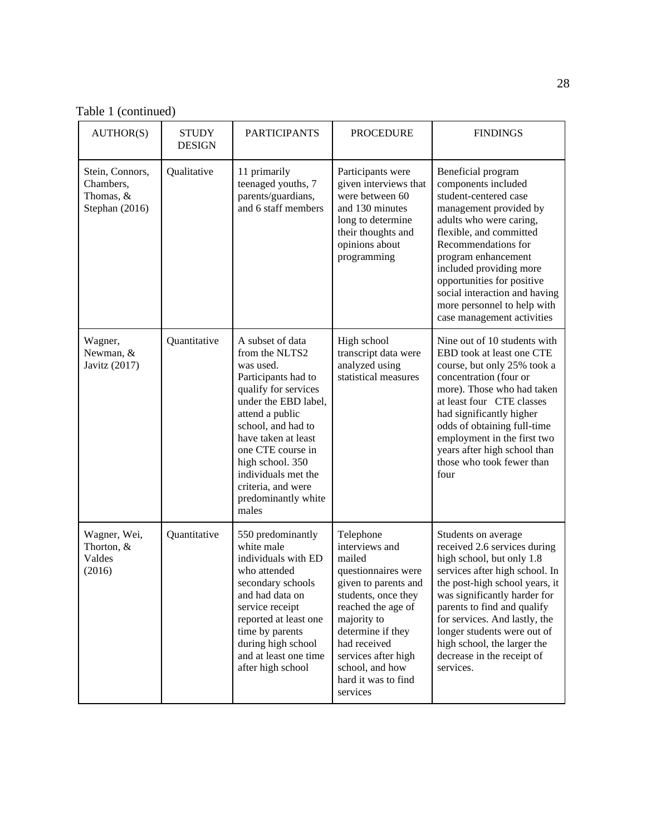Table 1 (continued)

| AUTHOR(S)                                                   | <b>STUDY</b><br><b>DESIGN</b> | <b>PARTICIPANTS</b>                                                                                                                                                                                                                                                                                          | <b>PROCEDURE</b>                                                                                                                                                                                                                                                   | <b>FINDINGS</b>                                                                                                                                                                                                                                                                                                                                               |
|-------------------------------------------------------------|-------------------------------|--------------------------------------------------------------------------------------------------------------------------------------------------------------------------------------------------------------------------------------------------------------------------------------------------------------|--------------------------------------------------------------------------------------------------------------------------------------------------------------------------------------------------------------------------------------------------------------------|---------------------------------------------------------------------------------------------------------------------------------------------------------------------------------------------------------------------------------------------------------------------------------------------------------------------------------------------------------------|
| Stein, Connors,<br>Chambers,<br>Thomas, &<br>Stephan (2016) | Qualitative                   | 11 primarily<br>teenaged youths, 7<br>parents/guardians,<br>and 6 staff members                                                                                                                                                                                                                              | Participants were<br>given interviews that<br>were between 60<br>and 130 minutes<br>long to determine<br>their thoughts and<br>opinions about<br>programming                                                                                                       | Beneficial program<br>components included<br>student-centered case<br>management provided by<br>adults who were caring,<br>flexible, and committed<br>Recommendations for<br>program enhancement<br>included providing more<br>opportunities for positive<br>social interaction and having<br>more personnel to help with<br>case management activities       |
| Wagner,<br>Newman, &<br>Javitz (2017)                       | Quantitative                  | A subset of data<br>from the NLTS2<br>was used.<br>Participants had to<br>qualify for services<br>under the EBD label,<br>attend a public<br>school, and had to<br>have taken at least<br>one CTE course in<br>high school. 350<br>individuals met the<br>criteria, and were<br>predominantly white<br>males | High school<br>transcript data were<br>analyzed using<br>statistical measures                                                                                                                                                                                      | Nine out of 10 students with<br>EBD took at least one CTE<br>course, but only 25% took a<br>concentration (four or<br>more). Those who had taken<br>at least four CTE classes<br>had significantly higher<br>odds of obtaining full-time<br>employment in the first two<br>years after high school than<br>those who took fewer than<br>four                  |
| Wagner, Wei,<br>Thorton, &<br>Valdes<br>(2016)              | Quantitative                  | 550 predominantly<br>white male<br>individuals with ED<br>who attended<br>secondary schools<br>and had data on<br>service receipt<br>reported at least one<br>time by parents<br>during high school<br>and at least one time<br>after high school                                                            | Telephone<br>interviews and<br>mailed<br>questionnaires were<br>given to parents and<br>students, once they<br>reached the age of<br>majority to<br>determine if they<br>had received<br>services after high<br>school, and how<br>hard it was to find<br>services | Students on average<br>received 2.6 services during<br>high school, but only 1.8<br>services after high school. In<br>the post-high school years, it<br>was significantly harder for<br>parents to find and qualify<br>for services. And lastly, the<br>longer students were out of<br>high school, the larger the<br>decrease in the receipt of<br>services. |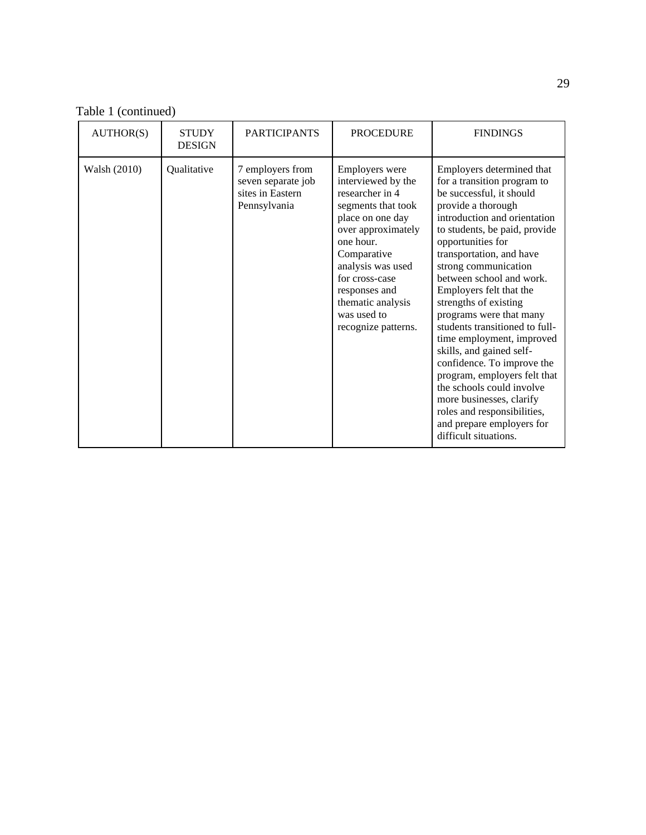Table 1 (continued)

| AUTHOR(S)    | <b>STUDY</b><br><b>DESIGN</b> | <b>PARTICIPANTS</b>                                                        | <b>PROCEDURE</b>                                                                                                                                                                                                                                                              | <b>FINDINGS</b>                                                                                                                                                                                                                                                                                                                                                                                                                                                                                                                                                                                                                                                        |
|--------------|-------------------------------|----------------------------------------------------------------------------|-------------------------------------------------------------------------------------------------------------------------------------------------------------------------------------------------------------------------------------------------------------------------------|------------------------------------------------------------------------------------------------------------------------------------------------------------------------------------------------------------------------------------------------------------------------------------------------------------------------------------------------------------------------------------------------------------------------------------------------------------------------------------------------------------------------------------------------------------------------------------------------------------------------------------------------------------------------|
| Walsh (2010) | Qualitative                   | 7 employers from<br>seven separate job<br>sites in Eastern<br>Pennsylvania | <b>Employers</b> were<br>interviewed by the<br>researcher in 4<br>segments that took<br>place on one day<br>over approximately<br>one hour.<br>Comparative<br>analysis was used<br>for cross-case<br>responses and<br>thematic analysis<br>was used to<br>recognize patterns. | Employers determined that<br>for a transition program to<br>be successful, it should<br>provide a thorough<br>introduction and orientation<br>to students, be paid, provide<br>opportunities for<br>transportation, and have<br>strong communication<br>between school and work.<br>Employers felt that the<br>strengths of existing<br>programs were that many<br>students transitioned to full-<br>time employment, improved<br>skills, and gained self-<br>confidence. To improve the<br>program, employers felt that<br>the schools could involve<br>more businesses, clarify<br>roles and responsibilities,<br>and prepare employers for<br>difficult situations. |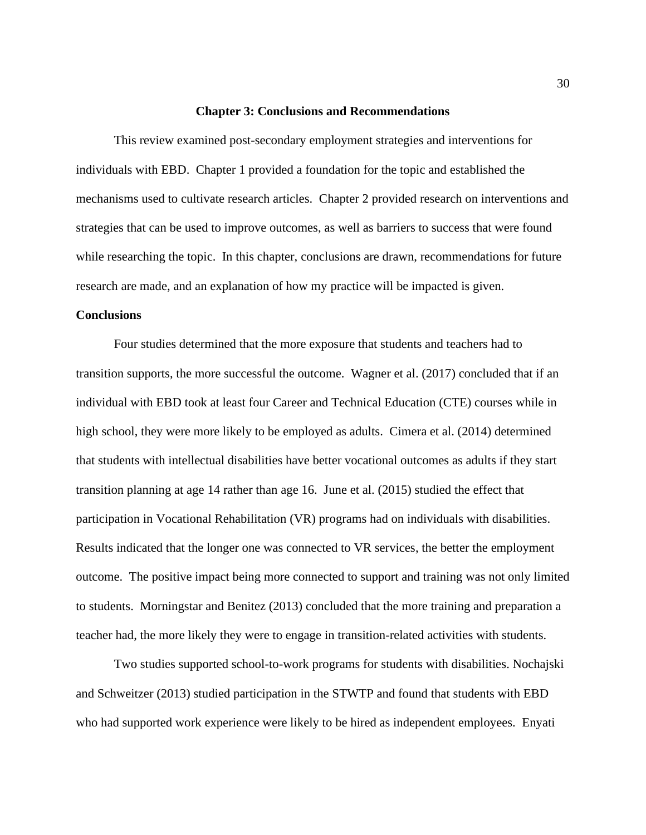#### **Chapter 3: Conclusions and Recommendations**

This review examined post-secondary employment strategies and interventions for individuals with EBD. Chapter 1 provided a foundation for the topic and established the mechanisms used to cultivate research articles. Chapter 2 provided research on interventions and strategies that can be used to improve outcomes, as well as barriers to success that were found while researching the topic. In this chapter, conclusions are drawn, recommendations for future research are made, and an explanation of how my practice will be impacted is given.

#### **Conclusions**

Four studies determined that the more exposure that students and teachers had to transition supports, the more successful the outcome. Wagner et al. (2017) concluded that if an individual with EBD took at least four Career and Technical Education (CTE) courses while in high school, they were more likely to be employed as adults. Cimera et al. (2014) determined that students with intellectual disabilities have better vocational outcomes as adults if they start transition planning at age 14 rather than age 16. June et al. (2015) studied the effect that participation in Vocational Rehabilitation (VR) programs had on individuals with disabilities. Results indicated that the longer one was connected to VR services, the better the employment outcome. The positive impact being more connected to support and training was not only limited to students. Morningstar and Benitez (2013) concluded that the more training and preparation a teacher had, the more likely they were to engage in transition-related activities with students.

Two studies supported school-to-work programs for students with disabilities. Nochajski and Schweitzer (2013) studied participation in the STWTP and found that students with EBD who had supported work experience were likely to be hired as independent employees. Enyati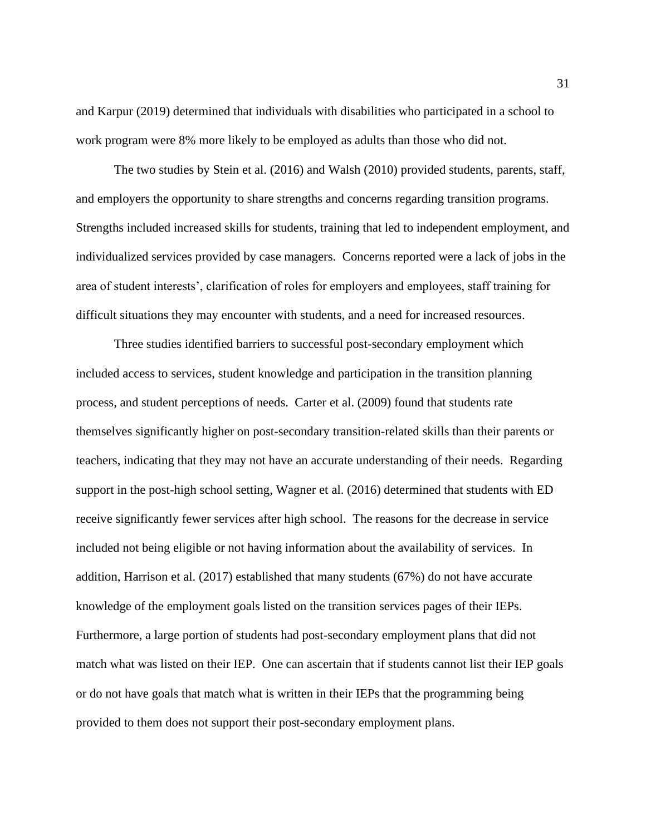and Karpur (2019) determined that individuals with disabilities who participated in a school to work program were 8% more likely to be employed as adults than those who did not.

The two studies by Stein et al. (2016) and Walsh (2010) provided students, parents, staff, and employers the opportunity to share strengths and concerns regarding transition programs. Strengths included increased skills for students, training that led to independent employment, and individualized services provided by case managers. Concerns reported were a lack of jobs in the area of student interests', clarification of roles for employers and employees, staff training for difficult situations they may encounter with students, and a need for increased resources.

Three studies identified barriers to successful post-secondary employment which included access to services, student knowledge and participation in the transition planning process, and student perceptions of needs. Carter et al. (2009) found that students rate themselves significantly higher on post-secondary transition-related skills than their parents or teachers, indicating that they may not have an accurate understanding of their needs. Regarding support in the post-high school setting, Wagner et al. (2016) determined that students with ED receive significantly fewer services after high school. The reasons for the decrease in service included not being eligible or not having information about the availability of services. In addition, Harrison et al. (2017) established that many students (67%) do not have accurate knowledge of the employment goals listed on the transition services pages of their IEPs. Furthermore, a large portion of students had post-secondary employment plans that did not match what was listed on their IEP. One can ascertain that if students cannot list their IEP goals or do not have goals that match what is written in their IEPs that the programming being provided to them does not support their post-secondary employment plans.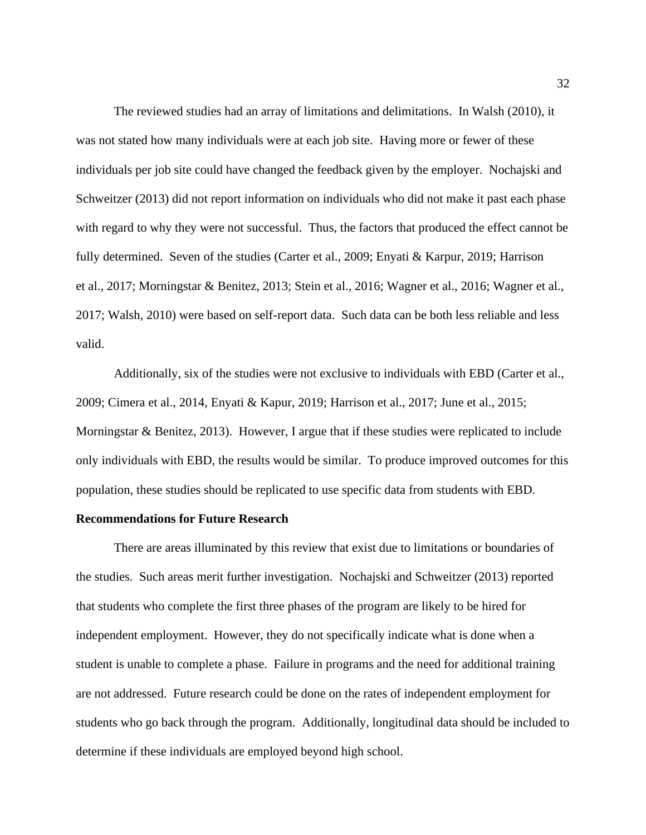The reviewed studies had an array of limitations and delimitations. In Walsh (2010), it was not stated how many individuals were at each job site. Having more or fewer of these individuals per job site could have changed the feedback given by the employer. Nochajski and Schweitzer (2013) did not report information on individuals who did not make it past each phase with regard to why they were not successful. Thus, the factors that produced the effect cannot be fully determined. Seven of the studies (Carter et al., 2009; Enyati & Karpur, 2019; Harrison et al., 2017; Morningstar & Benitez, 2013; Stein et al., 2016; Wagner et al., 2016; Wagner et al., 2017; Walsh, 2010) were based on self-report data. Such data can be both less reliable and less valid.

Additionally, six of the studies were not exclusive to individuals with EBD (Carter et al., 2009; Cimera et al., 2014, Enyati & Kapur, 2019; Harrison et al., 2017; June et al., 2015; Morningstar & Benitez, 2013). However, I argue that if these studies were replicated to include only individuals with EBD, the results would be similar. To produce improved outcomes for this population, these studies should be replicated to use specific data from students with EBD.

## **Recommendations for Future Research**

There are areas illuminated by this review that exist due to limitations or boundaries of the studies. Such areas merit further investigation. Nochajski and Schweitzer (2013) reported that students who complete the first three phases of the program are likely to be hired for independent employment. However, they do not specifically indicate what is done when a student is unable to complete a phase. Failure in programs and the need for additional training are not addressed. Future research could be done on the rates of independent employment for students who go back through the program. Additionally, longitudinal data should be included to determine if these individuals are employed beyond high school.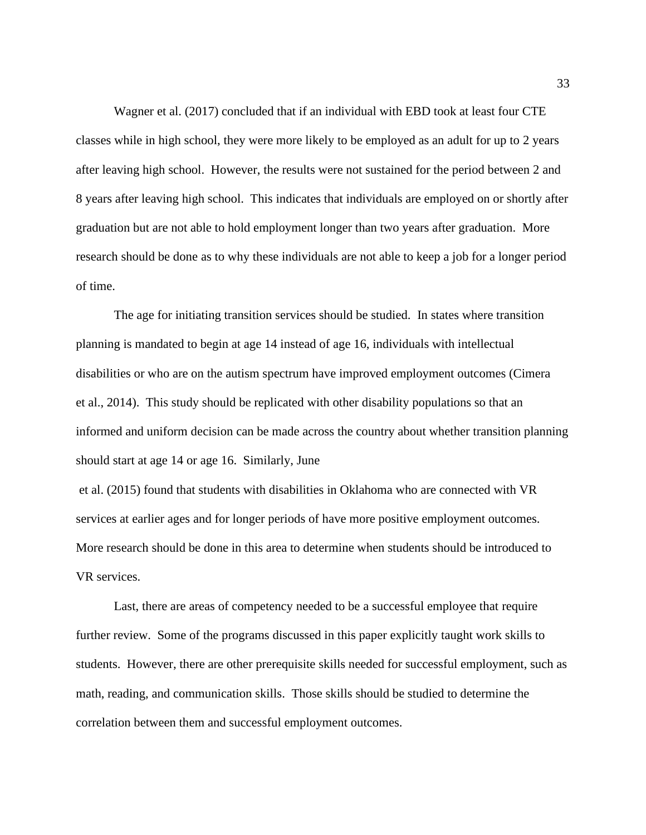Wagner et al. (2017) concluded that if an individual with EBD took at least four CTE classes while in high school, they were more likely to be employed as an adult for up to 2 years after leaving high school. However, the results were not sustained for the period between 2 and 8 years after leaving high school. This indicates that individuals are employed on or shortly after graduation but are not able to hold employment longer than two years after graduation. More research should be done as to why these individuals are not able to keep a job for a longer period of time.

The age for initiating transition services should be studied. In states where transition planning is mandated to begin at age 14 instead of age 16, individuals with intellectual disabilities or who are on the autism spectrum have improved employment outcomes (Cimera et al., 2014). This study should be replicated with other disability populations so that an informed and uniform decision can be made across the country about whether transition planning should start at age 14 or age 16. Similarly, June

et al. (2015) found that students with disabilities in Oklahoma who are connected with VR services at earlier ages and for longer periods of have more positive employment outcomes. More research should be done in this area to determine when students should be introduced to VR services.

Last, there are areas of competency needed to be a successful employee that require further review. Some of the programs discussed in this paper explicitly taught work skills to students. However, there are other prerequisite skills needed for successful employment, such as math, reading, and communication skills. Those skills should be studied to determine the correlation between them and successful employment outcomes.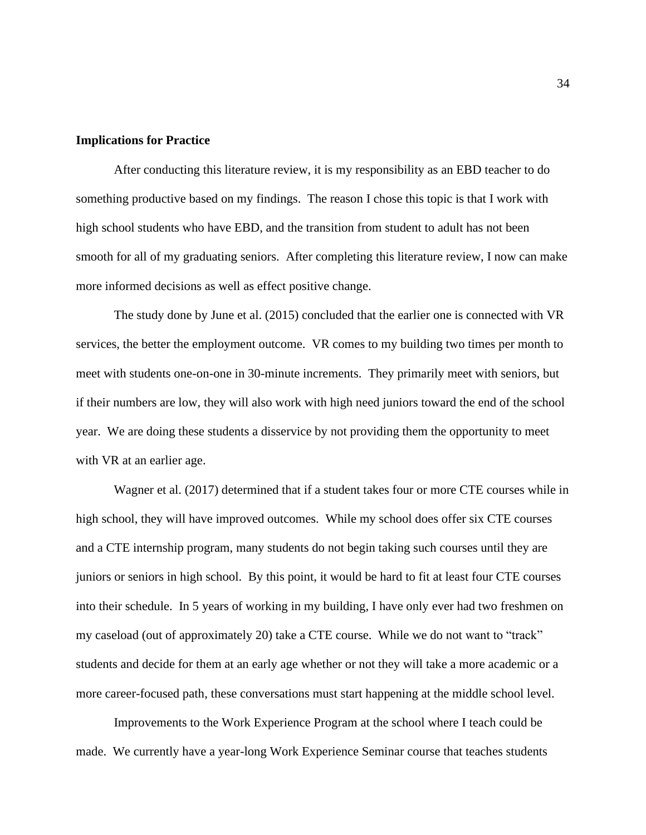# **Implications for Practice**

After conducting this literature review, it is my responsibility as an EBD teacher to do something productive based on my findings. The reason I chose this topic is that I work with high school students who have EBD, and the transition from student to adult has not been smooth for all of my graduating seniors. After completing this literature review, I now can make more informed decisions as well as effect positive change.

The study done by June et al. (2015) concluded that the earlier one is connected with VR services, the better the employment outcome. VR comes to my building two times per month to meet with students one-on-one in 30-minute increments. They primarily meet with seniors, but if their numbers are low, they will also work with high need juniors toward the end of the school year. We are doing these students a disservice by not providing them the opportunity to meet with VR at an earlier age.

Wagner et al. (2017) determined that if a student takes four or more CTE courses while in high school, they will have improved outcomes. While my school does offer six CTE courses and a CTE internship program, many students do not begin taking such courses until they are juniors or seniors in high school. By this point, it would be hard to fit at least four CTE courses into their schedule. In 5 years of working in my building, I have only ever had two freshmen on my caseload (out of approximately 20) take a CTE course. While we do not want to "track" students and decide for them at an early age whether or not they will take a more academic or a more career-focused path, these conversations must start happening at the middle school level.

Improvements to the Work Experience Program at the school where I teach could be made. We currently have a year-long Work Experience Seminar course that teaches students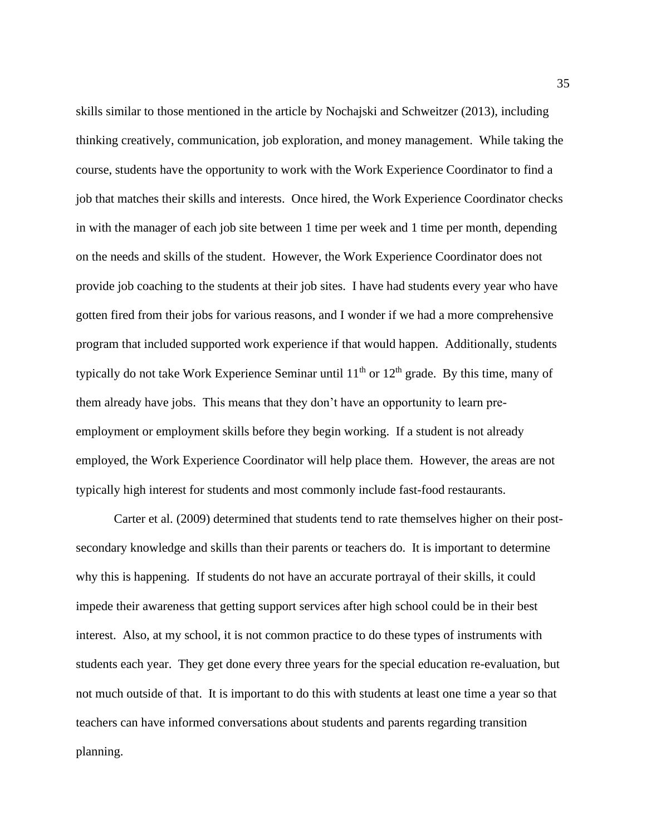skills similar to those mentioned in the article by Nochajski and Schweitzer (2013), including thinking creatively, communication, job exploration, and money management. While taking the course, students have the opportunity to work with the Work Experience Coordinator to find a job that matches their skills and interests. Once hired, the Work Experience Coordinator checks in with the manager of each job site between 1 time per week and 1 time per month, depending on the needs and skills of the student. However, the Work Experience Coordinator does not provide job coaching to the students at their job sites. I have had students every year who have gotten fired from their jobs for various reasons, and I wonder if we had a more comprehensive program that included supported work experience if that would happen. Additionally, students typically do not take Work Experience Seminar until  $11<sup>th</sup>$  or  $12<sup>th</sup>$  grade. By this time, many of them already have jobs. This means that they don't have an opportunity to learn preemployment or employment skills before they begin working. If a student is not already employed, the Work Experience Coordinator will help place them. However, the areas are not typically high interest for students and most commonly include fast-food restaurants.

Carter et al. (2009) determined that students tend to rate themselves higher on their postsecondary knowledge and skills than their parents or teachers do. It is important to determine why this is happening. If students do not have an accurate portrayal of their skills, it could impede their awareness that getting support services after high school could be in their best interest. Also, at my school, it is not common practice to do these types of instruments with students each year. They get done every three years for the special education re-evaluation, but not much outside of that. It is important to do this with students at least one time a year so that teachers can have informed conversations about students and parents regarding transition planning.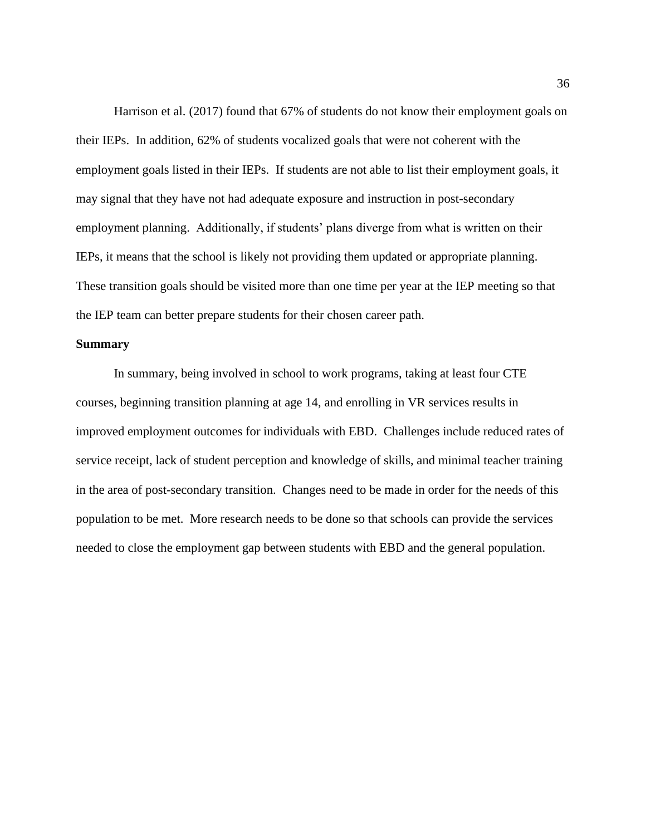Harrison et al. (2017) found that 67% of students do not know their employment goals on their IEPs. In addition, 62% of students vocalized goals that were not coherent with the employment goals listed in their IEPs. If students are not able to list their employment goals, it may signal that they have not had adequate exposure and instruction in post-secondary employment planning. Additionally, if students' plans diverge from what is written on their IEPs, it means that the school is likely not providing them updated or appropriate planning. These transition goals should be visited more than one time per year at the IEP meeting so that the IEP team can better prepare students for their chosen career path.

#### **Summary**

In summary, being involved in school to work programs, taking at least four CTE courses, beginning transition planning at age 14, and enrolling in VR services results in improved employment outcomes for individuals with EBD. Challenges include reduced rates of service receipt, lack of student perception and knowledge of skills, and minimal teacher training in the area of post-secondary transition. Changes need to be made in order for the needs of this population to be met. More research needs to be done so that schools can provide the services needed to close the employment gap between students with EBD and the general population.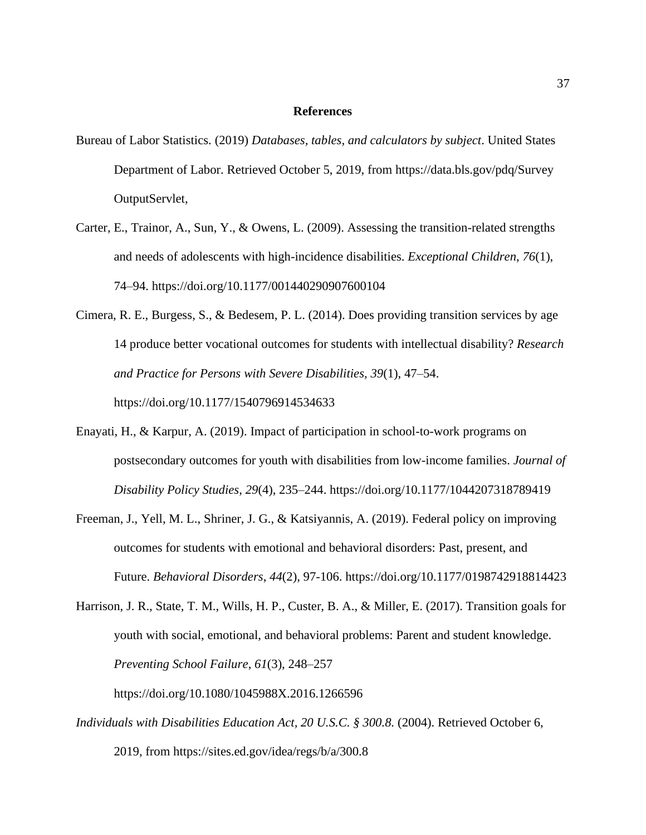#### **References**

- Bureau of Labor Statistics. (2019) *Databases, tables, and calculators by subject*. United States Department of Labor. Retrieved October 5, 2019, from<https://data.bls.gov/pdq/Survey> OutputServlet,
- Carter, E., Trainor, A., Sun, Y., & Owens, L. (2009). Assessing the transition-related strengths and needs of adolescents with high-incidence disabilities. *Exceptional Children*, *76*(1), 74–94. https://doi.org[/10.1177/001440290907600104](https://doi.org/10.1177/001440290907600104)
- Cimera, R. E., Burgess, S., & Bedesem, P. L. (2014). Does providing transition services by age 14 produce better vocational outcomes for students with intellectual disability? *Research and Practice for Persons with Severe Disabilities, 39*(1), 47–54.

https://doi.org/10.1177/1540796914534633

- Enayati, H., & Karpur, A. (2019). Impact of participation in school-to-work programs on postsecondary outcomes for youth with disabilities from low-income families. *Journal of Disability Policy Studies*, *29*(4), 235–244. https:/[/doi.org/10.1177/1044207318789419](https://doi.org/10.1177/1044207318789419)
- Freeman, J., Yell, M. L., Shriner, J. G., & Katsiyannis, A. (2019). Federal policy on improving outcomes for students with emotional and behavioral disorders: Past, present, and Future. *Behavioral Disorders*, *44*(2), 97-106. https://doi.org/10.1177/0198742918814423
- Harrison, J. R., State, T. M., Wills, H. P., Custer, B. A., & Miller, E. (2017). Transition goals for youth with social, emotional, and behavioral problems: Parent and student knowledge. *Preventing School Failure*, *61*(3), 248–257

https://doi.org/10.1080/1045988X.2016.1266596

*Individuals with Disabilities Education Act, 20 U.S.C. § 300.8.* (2004). Retrieved October 6, 2019, from <https://sites.ed.gov/idea/regs/b/a/300.8>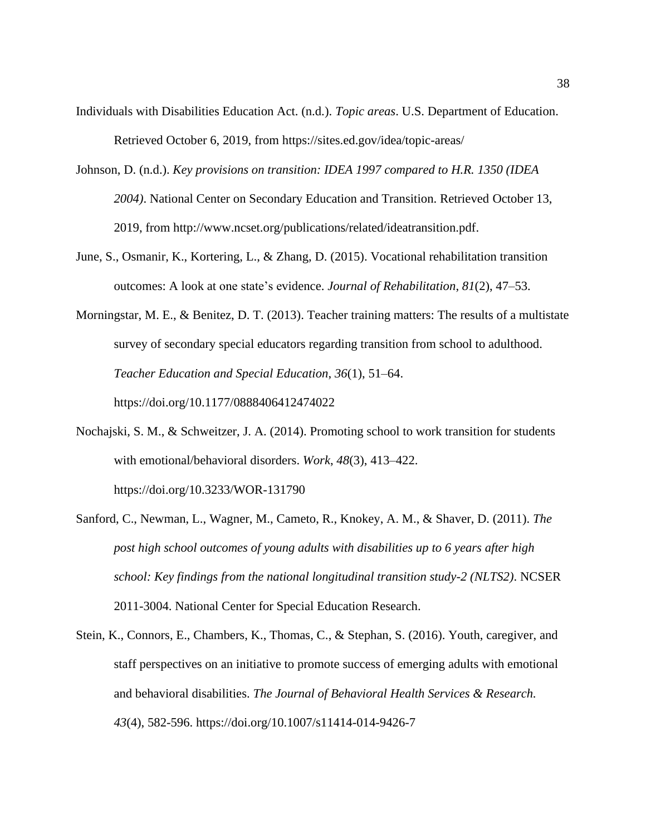- Individuals with Disabilities Education Act. (n.d.). *Topic areas*. U.S. Department of Education. Retrieved October 6, 2019, from https://sites.ed.gov/idea/topic-areas/
- Johnson, D. (n.d.). *Key provisions on transition: IDEA 1997 compared to H.R. 1350 (IDEA 2004)*. National Center on Secondary Education and Transition. Retrieved October 13, 2019, from [http://www.ncset.org/publications/related/ideatransition.pdf.](http://www.ncset.org/publications/related/ideatransition.pdf)
- June, S., Osmanir, K., Kortering, L., & Zhang, D. (2015). Vocational rehabilitation transition outcomes: A look at one state's evidence. *Journal of Rehabilitation*, *81*(2), 47–53.
- Morningstar, M. E., & Benitez, D. T. (2013). Teacher training matters: The results of a multistate survey of secondary special educators regarding transition from school to adulthood. *Teacher Education and Special Education*, *36*(1), 51–64. https://doi.org/10.1177/0888406412474022
- Nochajski, S. M., & Schweitzer, J. A. (2014). Promoting school to work transition for students with emotional/behavioral disorders. *Work*, *48*(3), 413–422. https://doi.org/10.3233/WOR-131790
- Sanford, C., Newman, L., Wagner, M., Cameto, R., Knokey, A. M., & Shaver, D. (2011). *The post high school outcomes of young adults with disabilities up to 6 years after high school: Key findings from the national longitudinal transition study-2 (NLTS2)*. NCSER 2011-3004. National Center for Special Education Research.
- Stein, K., Connors, E., Chambers, K., Thomas, C., & Stephan, S. (2016). Youth, caregiver, and staff perspectives on an initiative to promote success of emerging adults with emotional and behavioral disabilities. *The Journal of Behavioral Health Services & Research. 43*(4), 582-596. https://doi.org/10.1007/s11414-014-9426-7